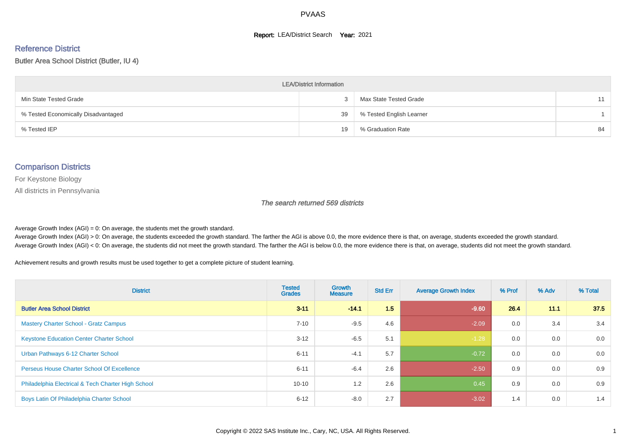#### **Report: LEA/District Search Year: 2021**

# Reference District

#### Butler Area School District (Butler, IU 4)

| <b>LEA/District Information</b>     |    |                          |    |  |  |  |  |  |  |  |
|-------------------------------------|----|--------------------------|----|--|--|--|--|--|--|--|
| Min State Tested Grade              |    | Max State Tested Grade   | 11 |  |  |  |  |  |  |  |
| % Tested Economically Disadvantaged | 39 | % Tested English Learner |    |  |  |  |  |  |  |  |
| % Tested IEP                        | 19 | % Graduation Rate        | 84 |  |  |  |  |  |  |  |

#### Comparison Districts

For Keystone Biology

All districts in Pennsylvania

The search returned 569 districts

Average Growth Index  $(AGI) = 0$ : On average, the students met the growth standard.

Average Growth Index (AGI) > 0: On average, the students exceeded the growth standard. The farther the AGI is above 0.0, the more evidence there is that, on average, students exceeded the growth standard. Average Growth Index (AGI) < 0: On average, the students did not meet the growth standard. The farther the AGI is below 0.0, the more evidence there is that, on average, students did not meet the growth standard.

Achievement results and growth results must be used together to get a complete picture of student learning.

| <b>District</b>                                    | <b>Tested</b><br><b>Grades</b> | <b>Growth</b><br><b>Measure</b> | <b>Std Err</b> | <b>Average Growth Index</b> | % Prof | % Adv | % Total |
|----------------------------------------------------|--------------------------------|---------------------------------|----------------|-----------------------------|--------|-------|---------|
| <b>Butler Area School District</b>                 | $3 - 11$                       | $-14.1$                         | 1.5            | $-9.60$                     | 26.4   | 11.1  | 37.5    |
| <b>Mastery Charter School - Gratz Campus</b>       | $7 - 10$                       | $-9.5$                          | 4.6            | $-2.09$                     | 0.0    | 3.4   | 3.4     |
| <b>Keystone Education Center Charter School</b>    | $3 - 12$                       | $-6.5$                          | 5.1            | $-1.28$                     | 0.0    | 0.0   | 0.0     |
| Urban Pathways 6-12 Charter School                 | $6 - 11$                       | $-4.1$                          | 5.7            | $-0.72$                     | 0.0    | 0.0   | 0.0     |
| Perseus House Charter School Of Excellence         | $6 - 11$                       | $-6.4$                          | 2.6            | $-2.50$                     | 0.9    | 0.0   | 0.9     |
| Philadelphia Electrical & Tech Charter High School | $10 - 10$                      | 1.2                             | 2.6            | 0.45                        | 0.9    | 0.0   | 0.9     |
| Boys Latin Of Philadelphia Charter School          | $6 - 12$                       | $-8.0$                          | 2.7            | $-3.02$                     | 1.4    | 0.0   | 1.4     |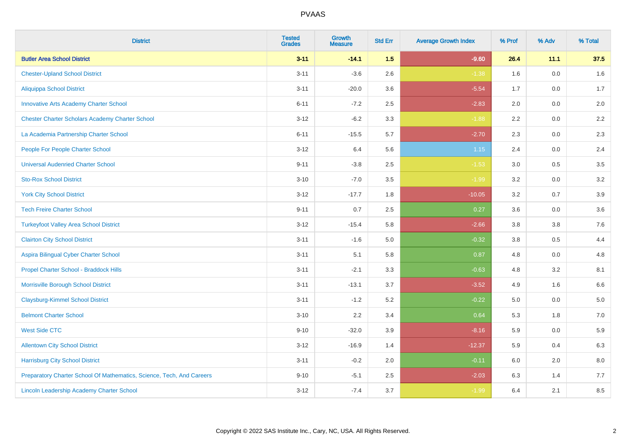| <b>District</b>                                                       | <b>Tested</b><br><b>Grades</b> | <b>Growth</b><br><b>Measure</b> | <b>Std Err</b> | <b>Average Growth Index</b> | % Prof | % Adv   | % Total |
|-----------------------------------------------------------------------|--------------------------------|---------------------------------|----------------|-----------------------------|--------|---------|---------|
| <b>Butler Area School District</b>                                    | $3 - 11$                       | $-14.1$                         | 1.5            | $-9.60$                     | 26.4   | 11.1    | 37.5    |
| <b>Chester-Upland School District</b>                                 | $3 - 11$                       | $-3.6$                          | 2.6            | $-1.38$                     | 1.6    | 0.0     | 1.6     |
| <b>Aliquippa School District</b>                                      | $3 - 11$                       | $-20.0$                         | 3.6            | $-5.54$                     | 1.7    | 0.0     | 1.7     |
| <b>Innovative Arts Academy Charter School</b>                         | $6 - 11$                       | $-7.2$                          | 2.5            | $-2.83$                     | 2.0    | $0.0\,$ | $2.0\,$ |
| <b>Chester Charter Scholars Academy Charter School</b>                | $3 - 12$                       | $-6.2$                          | 3.3            | $-1.88$                     | 2.2    | 0.0     | 2.2     |
| La Academia Partnership Charter School                                | $6 - 11$                       | $-15.5$                         | 5.7            | $-2.70$                     | 2.3    | 0.0     | 2.3     |
| People For People Charter School                                      | $3 - 12$                       | 6.4                             | 5.6            | 1.15                        | 2.4    | $0.0\,$ | 2.4     |
| <b>Universal Audenried Charter School</b>                             | $9 - 11$                       | $-3.8$                          | 2.5            | $-1.53$                     | 3.0    | 0.5     | 3.5     |
| <b>Sto-Rox School District</b>                                        | $3 - 10$                       | $-7.0$                          | 3.5            | $-1.99$                     | 3.2    | 0.0     | 3.2     |
| <b>York City School District</b>                                      | $3 - 12$                       | $-17.7$                         | 1.8            | $-10.05$                    | 3.2    | 0.7     | 3.9     |
| <b>Tech Freire Charter School</b>                                     | $9 - 11$                       | 0.7                             | 2.5            | 0.27                        | 3.6    | 0.0     | 3.6     |
| <b>Turkeyfoot Valley Area School District</b>                         | $3 - 12$                       | $-15.4$                         | 5.8            | $-2.66$                     | 3.8    | $3.8\,$ | 7.6     |
| <b>Clairton City School District</b>                                  | $3 - 11$                       | $-1.6$                          | 5.0            | $-0.32$                     | 3.8    | 0.5     | 4.4     |
| Aspira Bilingual Cyber Charter School                                 | $3 - 11$                       | 5.1                             | 5.8            | 0.87                        | 4.8    | 0.0     | 4.8     |
| Propel Charter School - Braddock Hills                                | $3 - 11$                       | $-2.1$                          | 3.3            | $-0.63$                     | 4.8    | 3.2     | 8.1     |
| Morrisville Borough School District                                   | $3 - 11$                       | $-13.1$                         | 3.7            | $-3.52$                     | 4.9    | 1.6     | 6.6     |
| <b>Claysburg-Kimmel School District</b>                               | $3 - 11$                       | $-1.2$                          | 5.2            | $-0.22$                     | 5.0    | 0.0     | 5.0     |
| <b>Belmont Charter School</b>                                         | $3 - 10$                       | 2.2                             | 3.4            | 0.64                        | 5.3    | 1.8     | 7.0     |
| <b>West Side CTC</b>                                                  | $9 - 10$                       | $-32.0$                         | 3.9            | $-8.16$                     | 5.9    | 0.0     | 5.9     |
| <b>Allentown City School District</b>                                 | $3 - 12$                       | $-16.9$                         | 1.4            | $-12.37$                    | 5.9    | 0.4     | 6.3     |
| <b>Harrisburg City School District</b>                                | $3 - 11$                       | $-0.2$                          | 2.0            | $-0.11$                     | 6.0    | 2.0     | 8.0     |
| Preparatory Charter School Of Mathematics, Science, Tech, And Careers | $9 - 10$                       | $-5.1$                          | 2.5            | $-2.03$                     | 6.3    | 1.4     | 7.7     |
| <b>Lincoln Leadership Academy Charter School</b>                      | $3 - 12$                       | $-7.4$                          | 3.7            | $-1.99$                     | 6.4    | 2.1     | 8.5     |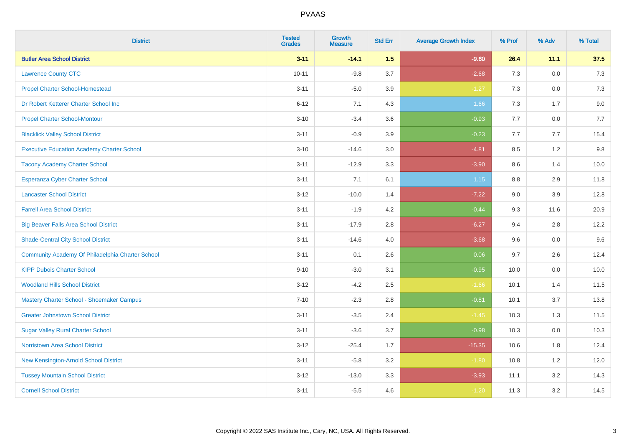| <b>District</b>                                   | <b>Tested</b><br><b>Grades</b> | <b>Growth</b><br><b>Measure</b> | <b>Std Err</b> | <b>Average Growth Index</b> | % Prof | % Adv   | % Total |
|---------------------------------------------------|--------------------------------|---------------------------------|----------------|-----------------------------|--------|---------|---------|
| <b>Butler Area School District</b>                | $3 - 11$                       | $-14.1$                         | 1.5            | $-9.60$                     | 26.4   | 11.1    | 37.5    |
| <b>Lawrence County CTC</b>                        | $10 - 11$                      | $-9.8$                          | 3.7            | $-2.68$                     | 7.3    | 0.0     | 7.3     |
| <b>Propel Charter School-Homestead</b>            | $3 - 11$                       | $-5.0$                          | 3.9            | $-1.27$                     | 7.3    | 0.0     | 7.3     |
| Dr Robert Ketterer Charter School Inc             | $6 - 12$                       | 7.1                             | 4.3            | 1.66                        | $7.3$  | 1.7     | 9.0     |
| <b>Propel Charter School-Montour</b>              | $3 - 10$                       | $-3.4$                          | 3.6            | $-0.93$                     | 7.7    | 0.0     | 7.7     |
| <b>Blacklick Valley School District</b>           | $3 - 11$                       | $-0.9$                          | 3.9            | $-0.23$                     | 7.7    | 7.7     | 15.4    |
| <b>Executive Education Academy Charter School</b> | $3 - 10$                       | $-14.6$                         | 3.0            | $-4.81$                     | 8.5    | 1.2     | 9.8     |
| <b>Tacony Academy Charter School</b>              | $3 - 11$                       | $-12.9$                         | 3.3            | $-3.90$                     | 8.6    | 1.4     | 10.0    |
| <b>Esperanza Cyber Charter School</b>             | $3 - 11$                       | 7.1                             | 6.1            | 1.15                        | 8.8    | 2.9     | 11.8    |
| <b>Lancaster School District</b>                  | $3 - 12$                       | $-10.0$                         | 1.4            | $-7.22$                     | 9.0    | 3.9     | 12.8    |
| <b>Farrell Area School District</b>               | $3 - 11$                       | $-1.9$                          | 4.2            | $-0.44$                     | 9.3    | 11.6    | 20.9    |
| <b>Big Beaver Falls Area School District</b>      | $3 - 11$                       | $-17.9$                         | 2.8            | $-6.27$                     | 9.4    | 2.8     | 12.2    |
| <b>Shade-Central City School District</b>         | $3 - 11$                       | $-14.6$                         | 4.0            | $-3.68$                     | 9.6    | 0.0     | 9.6     |
| Community Academy Of Philadelphia Charter School  | $3 - 11$                       | 0.1                             | 2.6            | 0.06                        | 9.7    | 2.6     | 12.4    |
| <b>KIPP Dubois Charter School</b>                 | $9 - 10$                       | $-3.0$                          | 3.1            | $-0.95$                     | 10.0   | 0.0     | 10.0    |
| <b>Woodland Hills School District</b>             | $3 - 12$                       | $-4.2$                          | 2.5            | $-1.66$                     | 10.1   | 1.4     | 11.5    |
| Mastery Charter School - Shoemaker Campus         | $7 - 10$                       | $-2.3$                          | 2.8            | $-0.81$                     | 10.1   | 3.7     | 13.8    |
| <b>Greater Johnstown School District</b>          | $3 - 11$                       | $-3.5$                          | 2.4            | $-1.45$                     | 10.3   | 1.3     | 11.5    |
| <b>Sugar Valley Rural Charter School</b>          | $3 - 11$                       | $-3.6$                          | 3.7            | $-0.98$                     | 10.3   | $0.0\,$ | 10.3    |
| Norristown Area School District                   | $3 - 12$                       | $-25.4$                         | 1.7            | $-15.35$                    | 10.6   | 1.8     | 12.4    |
| New Kensington-Arnold School District             | $3 - 11$                       | $-5.8$                          | 3.2            | $-1.80$                     | 10.8   | 1.2     | 12.0    |
| <b>Tussey Mountain School District</b>            | $3 - 12$                       | $-13.0$                         | 3.3            | $-3.93$                     | 11.1   | 3.2     | 14.3    |
| <b>Cornell School District</b>                    | $3 - 11$                       | $-5.5$                          | 4.6            | $-1.20$                     | 11.3   | 3.2     | 14.5    |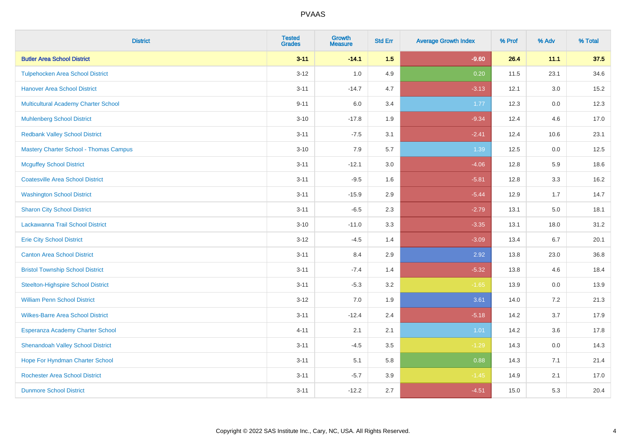| <b>District</b>                               | <b>Tested</b><br><b>Grades</b> | <b>Growth</b><br><b>Measure</b> | <b>Std Err</b> | <b>Average Growth Index</b> | % Prof | % Adv | % Total |
|-----------------------------------------------|--------------------------------|---------------------------------|----------------|-----------------------------|--------|-------|---------|
| <b>Butler Area School District</b>            | $3 - 11$                       | $-14.1$                         | 1.5            | $-9.60$                     | 26.4   | 11.1  | 37.5    |
| <b>Tulpehocken Area School District</b>       | $3 - 12$                       | 1.0                             | 4.9            | 0.20                        | 11.5   | 23.1  | 34.6    |
| <b>Hanover Area School District</b>           | $3 - 11$                       | $-14.7$                         | 4.7            | $-3.13$                     | 12.1   | 3.0   | 15.2    |
| <b>Multicultural Academy Charter School</b>   | $9 - 11$                       | $6.0\,$                         | 3.4            | 1.77                        | 12.3   | 0.0   | 12.3    |
| <b>Muhlenberg School District</b>             | $3 - 10$                       | $-17.8$                         | 1.9            | $-9.34$                     | 12.4   | 4.6   | 17.0    |
| <b>Redbank Valley School District</b>         | $3 - 11$                       | $-7.5$                          | 3.1            | $-2.41$                     | 12.4   | 10.6  | 23.1    |
| <b>Mastery Charter School - Thomas Campus</b> | $3 - 10$                       | 7.9                             | 5.7            | 1.39                        | 12.5   | 0.0   | 12.5    |
| <b>Mcguffey School District</b>               | $3 - 11$                       | $-12.1$                         | 3.0            | $-4.06$                     | 12.8   | 5.9   | 18.6    |
| <b>Coatesville Area School District</b>       | $3 - 11$                       | $-9.5$                          | 1.6            | $-5.81$                     | 12.8   | 3.3   | 16.2    |
| <b>Washington School District</b>             | $3 - 11$                       | $-15.9$                         | 2.9            | $-5.44$                     | 12.9   | 1.7   | 14.7    |
| <b>Sharon City School District</b>            | $3 - 11$                       | $-6.5$                          | 2.3            | $-2.79$                     | 13.1   | 5.0   | 18.1    |
| Lackawanna Trail School District              | $3 - 10$                       | $-11.0$                         | 3.3            | $-3.35$                     | 13.1   | 18.0  | 31.2    |
| <b>Erie City School District</b>              | $3 - 12$                       | $-4.5$                          | 1.4            | $-3.09$                     | 13.4   | 6.7   | 20.1    |
| <b>Canton Area School District</b>            | $3 - 11$                       | 8.4                             | 2.9            | 2.92                        | 13.8   | 23.0  | 36.8    |
| <b>Bristol Township School District</b>       | $3 - 11$                       | $-7.4$                          | 1.4            | $-5.32$                     | 13.8   | 4.6   | 18.4    |
| <b>Steelton-Highspire School District</b>     | $3 - 11$                       | $-5.3$                          | 3.2            | $-1.65$                     | 13.9   | 0.0   | 13.9    |
| <b>William Penn School District</b>           | $3 - 12$                       | 7.0                             | 1.9            | 3.61                        | 14.0   | 7.2   | 21.3    |
| <b>Wilkes-Barre Area School District</b>      | $3 - 11$                       | $-12.4$                         | 2.4            | $-5.18$                     | 14.2   | 3.7   | 17.9    |
| Esperanza Academy Charter School              | $4 - 11$                       | 2.1                             | 2.1            | $1.01$                      | 14.2   | 3.6   | 17.8    |
| <b>Shenandoah Valley School District</b>      | $3 - 11$                       | $-4.5$                          | 3.5            | $-1.29$                     | 14.3   | 0.0   | 14.3    |
| Hope For Hyndman Charter School               | $3 - 11$                       | 5.1                             | 5.8            | 0.88                        | 14.3   | 7.1   | 21.4    |
| <b>Rochester Area School District</b>         | $3 - 11$                       | $-5.7$                          | 3.9            | $-1.45$                     | 14.9   | 2.1   | 17.0    |
| <b>Dunmore School District</b>                | $3 - 11$                       | $-12.2$                         | 2.7            | $-4.51$                     | 15.0   | 5.3   | 20.4    |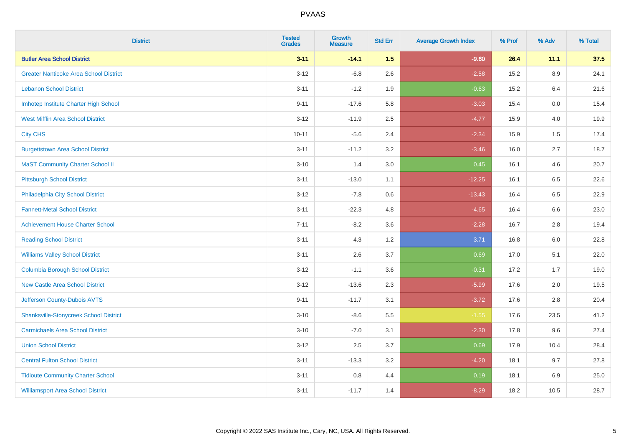| <b>District</b>                               | <b>Tested</b><br><b>Grades</b> | <b>Growth</b><br><b>Measure</b> | <b>Std Err</b> | <b>Average Growth Index</b> | % Prof | % Adv | % Total |
|-----------------------------------------------|--------------------------------|---------------------------------|----------------|-----------------------------|--------|-------|---------|
| <b>Butler Area School District</b>            | $3 - 11$                       | $-14.1$                         | 1.5            | $-9.60$                     | 26.4   | 11.1  | 37.5    |
| <b>Greater Nanticoke Area School District</b> | $3 - 12$                       | $-6.8$                          | 2.6            | $-2.58$                     | 15.2   | 8.9   | 24.1    |
| <b>Lebanon School District</b>                | $3 - 11$                       | $-1.2$                          | 1.9            | $-0.63$                     | 15.2   | 6.4   | 21.6    |
| Imhotep Institute Charter High School         | $9 - 11$                       | $-17.6$                         | 5.8            | $-3.03$                     | 15.4   | 0.0   | 15.4    |
| <b>West Mifflin Area School District</b>      | $3 - 12$                       | $-11.9$                         | 2.5            | $-4.77$                     | 15.9   | 4.0   | 19.9    |
| <b>City CHS</b>                               | $10 - 11$                      | $-5.6$                          | 2.4            | $-2.34$                     | 15.9   | 1.5   | 17.4    |
| <b>Burgettstown Area School District</b>      | $3 - 11$                       | $-11.2$                         | 3.2            | $-3.46$                     | 16.0   | 2.7   | 18.7    |
| <b>MaST Community Charter School II</b>       | $3 - 10$                       | 1.4                             | 3.0            | 0.45                        | 16.1   | 4.6   | 20.7    |
| <b>Pittsburgh School District</b>             | $3 - 11$                       | $-13.0$                         | 1.1            | $-12.25$                    | 16.1   | 6.5   | 22.6    |
| Philadelphia City School District             | $3 - 12$                       | $-7.8$                          | 0.6            | $-13.43$                    | 16.4   | 6.5   | 22.9    |
| <b>Fannett-Metal School District</b>          | $3 - 11$                       | $-22.3$                         | 4.8            | $-4.65$                     | 16.4   | 6.6   | 23.0    |
| <b>Achievement House Charter School</b>       | $7 - 11$                       | $-8.2$                          | 3.6            | $-2.28$                     | 16.7   | 2.8   | 19.4    |
| <b>Reading School District</b>                | $3 - 11$                       | 4.3                             | 1.2            | 3.71                        | 16.8   | 6.0   | 22.8    |
| <b>Williams Valley School District</b>        | $3 - 11$                       | 2.6                             | 3.7            | 0.69                        | 17.0   | 5.1   | 22.0    |
| <b>Columbia Borough School District</b>       | $3 - 12$                       | $-1.1$                          | 3.6            | $-0.31$                     | 17.2   | 1.7   | 19.0    |
| <b>New Castle Area School District</b>        | $3 - 12$                       | $-13.6$                         | 2.3            | $-5.99$                     | 17.6   | 2.0   | 19.5    |
| Jefferson County-Dubois AVTS                  | $9 - 11$                       | $-11.7$                         | 3.1            | $-3.72$                     | 17.6   | 2.8   | 20.4    |
| <b>Shanksville-Stonycreek School District</b> | $3 - 10$                       | $-8.6$                          | 5.5            | $-1.55$                     | 17.6   | 23.5  | 41.2    |
| <b>Carmichaels Area School District</b>       | $3 - 10$                       | $-7.0$                          | 3.1            | $-2.30$                     | 17.8   | 9.6   | 27.4    |
| <b>Union School District</b>                  | $3 - 12$                       | 2.5                             | 3.7            | 0.69                        | 17.9   | 10.4  | 28.4    |
| <b>Central Fulton School District</b>         | $3 - 11$                       | $-13.3$                         | 3.2            | $-4.20$                     | 18.1   | 9.7   | 27.8    |
| <b>Tidioute Community Charter School</b>      | $3 - 11$                       | 0.8                             | 4.4            | 0.19                        | 18.1   | 6.9   | 25.0    |
| <b>Williamsport Area School District</b>      | $3 - 11$                       | $-11.7$                         | 1.4            | $-8.29$                     | 18.2   | 10.5  | 28.7    |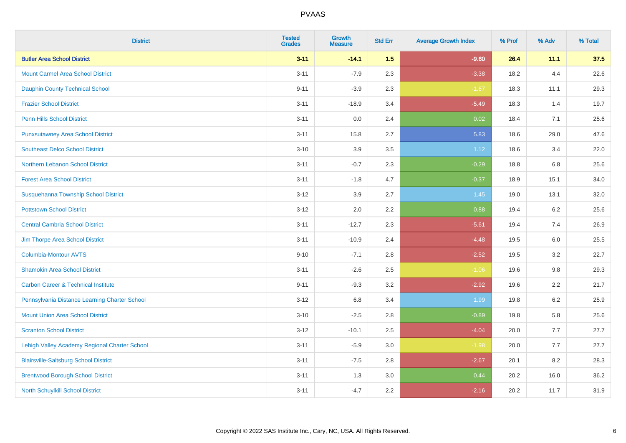| <b>District</b>                                | <b>Tested</b><br><b>Grades</b> | <b>Growth</b><br><b>Measure</b> | <b>Std Err</b> | <b>Average Growth Index</b> | % Prof | % Adv   | % Total |
|------------------------------------------------|--------------------------------|---------------------------------|----------------|-----------------------------|--------|---------|---------|
| <b>Butler Area School District</b>             | $3 - 11$                       | $-14.1$                         | 1.5            | $-9.60$                     | 26.4   | 11.1    | 37.5    |
| <b>Mount Carmel Area School District</b>       | $3 - 11$                       | $-7.9$                          | 2.3            | $-3.38$                     | 18.2   | 4.4     | 22.6    |
| <b>Dauphin County Technical School</b>         | $9 - 11$                       | $-3.9$                          | 2.3            | $-1.67$                     | 18.3   | 11.1    | 29.3    |
| <b>Frazier School District</b>                 | $3 - 11$                       | $-18.9$                         | 3.4            | $-5.49$                     | 18.3   | 1.4     | 19.7    |
| <b>Penn Hills School District</b>              | $3 - 11$                       | 0.0                             | 2.4            | 0.02                        | 18.4   | 7.1     | 25.6    |
| <b>Punxsutawney Area School District</b>       | $3 - 11$                       | 15.8                            | 2.7            | 5.83                        | 18.6   | 29.0    | 47.6    |
| <b>Southeast Delco School District</b>         | $3 - 10$                       | 3.9                             | 3.5            | 1.12                        | 18.6   | 3.4     | 22.0    |
| Northern Lebanon School District               | $3 - 11$                       | $-0.7$                          | 2.3            | $-0.29$                     | 18.8   | 6.8     | 25.6    |
| <b>Forest Area School District</b>             | $3 - 11$                       | $-1.8$                          | 4.7            | $-0.37$                     | 18.9   | 15.1    | 34.0    |
| Susquehanna Township School District           | $3 - 12$                       | 3.9                             | 2.7            | $1.45$                      | 19.0   | 13.1    | 32.0    |
| <b>Pottstown School District</b>               | $3 - 12$                       | 2.0                             | 2.2            | 0.88                        | 19.4   | 6.2     | 25.6    |
| <b>Central Cambria School District</b>         | $3 - 11$                       | $-12.7$                         | 2.3            | $-5.61$                     | 19.4   | 7.4     | 26.9    |
| Jim Thorpe Area School District                | $3 - 11$                       | $-10.9$                         | 2.4            | $-4.48$                     | 19.5   | $6.0\,$ | 25.5    |
| <b>Columbia-Montour AVTS</b>                   | $9 - 10$                       | $-7.1$                          | 2.8            | $-2.52$                     | 19.5   | 3.2     | 22.7    |
| <b>Shamokin Area School District</b>           | $3 - 11$                       | $-2.6$                          | 2.5            | $-1.06$                     | 19.6   | 9.8     | 29.3    |
| <b>Carbon Career &amp; Technical Institute</b> | $9 - 11$                       | $-9.3$                          | 3.2            | $-2.92$                     | 19.6   | 2.2     | 21.7    |
| Pennsylvania Distance Learning Charter School  | $3 - 12$                       | 6.8                             | 3.4            | 1.99                        | 19.8   | 6.2     | 25.9    |
| <b>Mount Union Area School District</b>        | $3 - 10$                       | $-2.5$                          | 2.8            | $-0.89$                     | 19.8   | 5.8     | 25.6    |
| <b>Scranton School District</b>                | $3 - 12$                       | $-10.1$                         | 2.5            | $-4.04$                     | 20.0   | 7.7     | 27.7    |
| Lehigh Valley Academy Regional Charter School  | $3 - 11$                       | $-5.9$                          | 3.0            | $-1.98$                     | 20.0   | 7.7     | 27.7    |
| <b>Blairsville-Saltsburg School District</b>   | $3 - 11$                       | $-7.5$                          | 2.8            | $-2.67$                     | 20.1   | 8.2     | 28.3    |
| <b>Brentwood Borough School District</b>       | $3 - 11$                       | 1.3                             | 3.0            | 0.44                        | 20.2   | 16.0    | 36.2    |
| North Schuylkill School District               | $3 - 11$                       | $-4.7$                          | 2.2            | $-2.16$                     | 20.2   | 11.7    | 31.9    |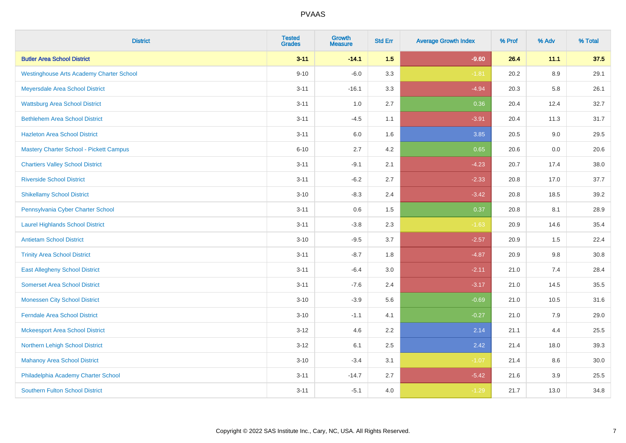| <b>District</b>                                 | <b>Tested</b><br><b>Grades</b> | <b>Growth</b><br><b>Measure</b> | <b>Std Err</b> | <b>Average Growth Index</b> | % Prof | % Adv   | % Total |
|-------------------------------------------------|--------------------------------|---------------------------------|----------------|-----------------------------|--------|---------|---------|
| <b>Butler Area School District</b>              | $3 - 11$                       | $-14.1$                         | 1.5            | $-9.60$                     | 26.4   | 11.1    | 37.5    |
| <b>Westinghouse Arts Academy Charter School</b> | $9 - 10$                       | $-6.0$                          | 3.3            | $-1.81$                     | 20.2   | 8.9     | 29.1    |
| Meyersdale Area School District                 | $3 - 11$                       | $-16.1$                         | 3.3            | $-4.94$                     | 20.3   | 5.8     | 26.1    |
| <b>Wattsburg Area School District</b>           | $3 - 11$                       | $1.0\,$                         | 2.7            | 0.36                        | 20.4   | 12.4    | 32.7    |
| <b>Bethlehem Area School District</b>           | $3 - 11$                       | $-4.5$                          | 1.1            | $-3.91$                     | 20.4   | 11.3    | 31.7    |
| <b>Hazleton Area School District</b>            | $3 - 11$                       | $6.0\,$                         | 1.6            | 3.85                        | 20.5   | 9.0     | 29.5    |
| Mastery Charter School - Pickett Campus         | $6 - 10$                       | 2.7                             | 4.2            | 0.65                        | 20.6   | $0.0\,$ | 20.6    |
| <b>Chartiers Valley School District</b>         | $3 - 11$                       | $-9.1$                          | 2.1            | $-4.23$                     | 20.7   | 17.4    | 38.0    |
| <b>Riverside School District</b>                | $3 - 11$                       | $-6.2$                          | 2.7            | $-2.33$                     | 20.8   | 17.0    | 37.7    |
| <b>Shikellamy School District</b>               | $3 - 10$                       | $-8.3$                          | 2.4            | $-3.42$                     | 20.8   | 18.5    | 39.2    |
| Pennsylvania Cyber Charter School               | $3 - 11$                       | 0.6                             | 1.5            | 0.37                        | 20.8   | 8.1     | 28.9    |
| <b>Laurel Highlands School District</b>         | $3 - 11$                       | $-3.8$                          | 2.3            | $-1.63$                     | 20.9   | 14.6    | 35.4    |
| <b>Antietam School District</b>                 | $3 - 10$                       | $-9.5$                          | 3.7            | $-2.57$                     | 20.9   | 1.5     | 22.4    |
| <b>Trinity Area School District</b>             | $3 - 11$                       | $-8.7$                          | 1.8            | $-4.87$                     | 20.9   | 9.8     | 30.8    |
| <b>East Allegheny School District</b>           | $3 - 11$                       | $-6.4$                          | 3.0            | $-2.11$                     | 21.0   | 7.4     | 28.4    |
| <b>Somerset Area School District</b>            | $3 - 11$                       | $-7.6$                          | 2.4            | $-3.17$                     | 21.0   | 14.5    | 35.5    |
| <b>Monessen City School District</b>            | $3 - 10$                       | $-3.9$                          | 5.6            | $-0.69$                     | 21.0   | 10.5    | 31.6    |
| <b>Ferndale Area School District</b>            | $3 - 10$                       | $-1.1$                          | 4.1            | $-0.27$                     | 21.0   | 7.9     | 29.0    |
| <b>Mckeesport Area School District</b>          | $3 - 12$                       | 4.6                             | 2.2            | 2.14                        | 21.1   | 4.4     | 25.5    |
| Northern Lehigh School District                 | $3 - 12$                       | 6.1                             | 2.5            | 2.42                        | 21.4   | 18.0    | 39.3    |
| <b>Mahanoy Area School District</b>             | $3 - 10$                       | $-3.4$                          | 3.1            | $-1.07$                     | 21.4   | 8.6     | 30.0    |
| Philadelphia Academy Charter School             | $3 - 11$                       | $-14.7$                         | 2.7            | $-5.42$                     | 21.6   | 3.9     | 25.5    |
| <b>Southern Fulton School District</b>          | $3 - 11$                       | $-5.1$                          | 4.0            | $-1.29$                     | 21.7   | 13.0    | 34.8    |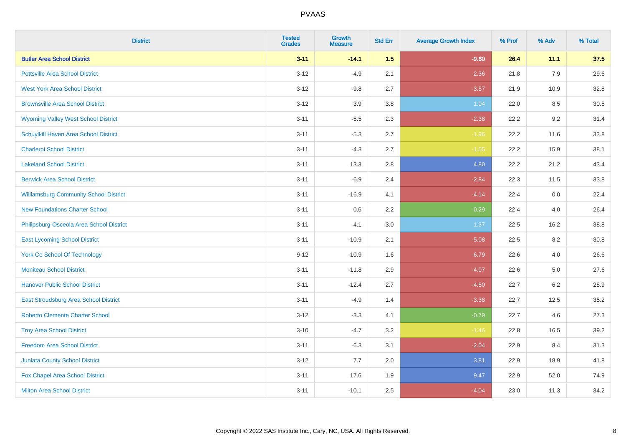| <b>District</b>                               | <b>Tested</b><br><b>Grades</b> | <b>Growth</b><br><b>Measure</b> | <b>Std Err</b> | <b>Average Growth Index</b> | % Prof | % Adv   | % Total |
|-----------------------------------------------|--------------------------------|---------------------------------|----------------|-----------------------------|--------|---------|---------|
| <b>Butler Area School District</b>            | $3 - 11$                       | $-14.1$                         | 1.5            | $-9.60$                     | 26.4   | 11.1    | 37.5    |
| <b>Pottsville Area School District</b>        | $3 - 12$                       | $-4.9$                          | 2.1            | $-2.36$                     | 21.8   | 7.9     | 29.6    |
| <b>West York Area School District</b>         | $3 - 12$                       | $-9.8$                          | 2.7            | $-3.57$                     | 21.9   | 10.9    | 32.8    |
| <b>Brownsville Area School District</b>       | $3 - 12$                       | 3.9                             | 3.8            | 1.04                        | 22.0   | 8.5     | 30.5    |
| <b>Wyoming Valley West School District</b>    | $3 - 11$                       | $-5.5$                          | 2.3            | $-2.38$                     | 22.2   | 9.2     | 31.4    |
| Schuylkill Haven Area School District         | $3 - 11$                       | $-5.3$                          | 2.7            | $-1.96$                     | 22.2   | 11.6    | 33.8    |
| <b>Charleroi School District</b>              | $3 - 11$                       | $-4.3$                          | 2.7            | $-1.55$                     | 22.2   | 15.9    | 38.1    |
| <b>Lakeland School District</b>               | $3 - 11$                       | 13.3                            | 2.8            | 4.80                        | 22.2   | 21.2    | 43.4    |
| <b>Berwick Area School District</b>           | $3 - 11$                       | $-6.9$                          | 2.4            | $-2.84$                     | 22.3   | 11.5    | 33.8    |
| <b>Williamsburg Community School District</b> | $3 - 11$                       | $-16.9$                         | 4.1            | $-4.14$                     | 22.4   | 0.0     | 22.4    |
| <b>New Foundations Charter School</b>         | $3 - 11$                       | $0.6\,$                         | 2.2            | 0.29                        | 22.4   | 4.0     | 26.4    |
| Philipsburg-Osceola Area School District      | $3 - 11$                       | 4.1                             | 3.0            | 1.37                        | 22.5   | 16.2    | 38.8    |
| <b>East Lycoming School District</b>          | $3 - 11$                       | $-10.9$                         | 2.1            | $-5.08$                     | 22.5   | $8.2\,$ | 30.8    |
| <b>York Co School Of Technology</b>           | $9 - 12$                       | $-10.9$                         | 1.6            | $-6.79$                     | 22.6   | 4.0     | 26.6    |
| <b>Moniteau School District</b>               | $3 - 11$                       | $-11.8$                         | 2.9            | $-4.07$                     | 22.6   | 5.0     | 27.6    |
| <b>Hanover Public School District</b>         | $3 - 11$                       | $-12.4$                         | 2.7            | $-4.50$                     | 22.7   | $6.2\,$ | 28.9    |
| East Stroudsburg Area School District         | $3 - 11$                       | $-4.9$                          | 1.4            | $-3.38$                     | 22.7   | 12.5    | 35.2    |
| <b>Roberto Clemente Charter School</b>        | $3 - 12$                       | $-3.3$                          | 4.1            | $-0.79$                     | 22.7   | 4.6     | 27.3    |
| <b>Troy Area School District</b>              | $3 - 10$                       | $-4.7$                          | 3.2            | $-1.46$                     | 22.8   | 16.5    | 39.2    |
| <b>Freedom Area School District</b>           | $3 - 11$                       | $-6.3$                          | 3.1            | $-2.04$                     | 22.9   | 8.4     | 31.3    |
| <b>Juniata County School District</b>         | $3 - 12$                       | 7.7                             | 2.0            | 3.81                        | 22.9   | 18.9    | 41.8    |
| Fox Chapel Area School District               | $3 - 11$                       | 17.6                            | 1.9            | 9.47                        | 22.9   | 52.0    | 74.9    |
| <b>Milton Area School District</b>            | $3 - 11$                       | $-10.1$                         | 2.5            | $-4.04$                     | 23.0   | 11.3    | 34.2    |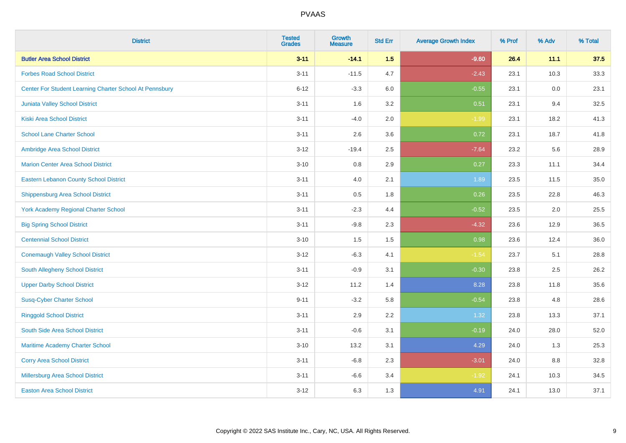| <b>District</b>                                         | <b>Tested</b><br><b>Grades</b> | <b>Growth</b><br><b>Measure</b> | <b>Std Err</b> | <b>Average Growth Index</b> | % Prof | % Adv | % Total |
|---------------------------------------------------------|--------------------------------|---------------------------------|----------------|-----------------------------|--------|-------|---------|
| <b>Butler Area School District</b>                      | $3 - 11$                       | $-14.1$                         | 1.5            | $-9.60$                     | 26.4   | 11.1  | 37.5    |
| <b>Forbes Road School District</b>                      | $3 - 11$                       | $-11.5$                         | 4.7            | $-2.43$                     | 23.1   | 10.3  | 33.3    |
| Center For Student Learning Charter School At Pennsbury | $6 - 12$                       | $-3.3$                          | 6.0            | $-0.55$                     | 23.1   | 0.0   | 23.1    |
| Juniata Valley School District                          | $3 - 11$                       | 1.6                             | 3.2            | 0.51                        | 23.1   | 9.4   | 32.5    |
| <b>Kiski Area School District</b>                       | $3 - 11$                       | $-4.0$                          | 2.0            | $-1.99$                     | 23.1   | 18.2  | 41.3    |
| <b>School Lane Charter School</b>                       | $3 - 11$                       | 2.6                             | 3.6            | 0.72                        | 23.1   | 18.7  | 41.8    |
| Ambridge Area School District                           | $3 - 12$                       | $-19.4$                         | 2.5            | $-7.64$                     | 23.2   | 5.6   | 28.9    |
| <b>Marion Center Area School District</b>               | $3 - 10$                       | 0.8                             | 2.9            | 0.27                        | 23.3   | 11.1  | 34.4    |
| <b>Eastern Lebanon County School District</b>           | $3 - 11$                       | 4.0                             | 2.1            | 1.89                        | 23.5   | 11.5  | 35.0    |
| <b>Shippensburg Area School District</b>                | $3 - 11$                       | 0.5                             | 1.8            | 0.26                        | 23.5   | 22.8  | 46.3    |
| <b>York Academy Regional Charter School</b>             | $3 - 11$                       | $-2.3$                          | 4.4            | $-0.52$                     | 23.5   | 2.0   | 25.5    |
| <b>Big Spring School District</b>                       | $3 - 11$                       | $-9.8$                          | 2.3            | $-4.32$                     | 23.6   | 12.9  | 36.5    |
| <b>Centennial School District</b>                       | $3 - 10$                       | 1.5                             | $1.5$          | 0.98                        | 23.6   | 12.4  | 36.0    |
| <b>Conemaugh Valley School District</b>                 | $3 - 12$                       | $-6.3$                          | 4.1            | $-1.54$                     | 23.7   | 5.1   | 28.8    |
| South Allegheny School District                         | $3 - 11$                       | $-0.9$                          | 3.1            | $-0.30$                     | 23.8   | 2.5   | 26.2    |
| <b>Upper Darby School District</b>                      | $3 - 12$                       | 11.2                            | 1.4            | 8.28                        | 23.8   | 11.8  | 35.6    |
| <b>Susq-Cyber Charter School</b>                        | $9 - 11$                       | $-3.2$                          | 5.8            | $-0.54$                     | 23.8   | 4.8   | 28.6    |
| <b>Ringgold School District</b>                         | $3 - 11$                       | 2.9                             | 2.2            | 1.32                        | 23.8   | 13.3  | 37.1    |
| South Side Area School District                         | $3 - 11$                       | $-0.6$                          | 3.1            | $-0.19$                     | 24.0   | 28.0  | 52.0    |
| Maritime Academy Charter School                         | $3 - 10$                       | 13.2                            | 3.1            | 4.29                        | 24.0   | 1.3   | 25.3    |
| <b>Corry Area School District</b>                       | $3 - 11$                       | $-6.8$                          | 2.3            | $-3.01$                     | 24.0   | 8.8   | 32.8    |
| <b>Millersburg Area School District</b>                 | $3 - 11$                       | $-6.6$                          | 3.4            | $-1.92$                     | 24.1   | 10.3  | 34.5    |
| <b>Easton Area School District</b>                      | $3 - 12$                       | 6.3                             | 1.3            | 4.91                        | 24.1   | 13.0  | 37.1    |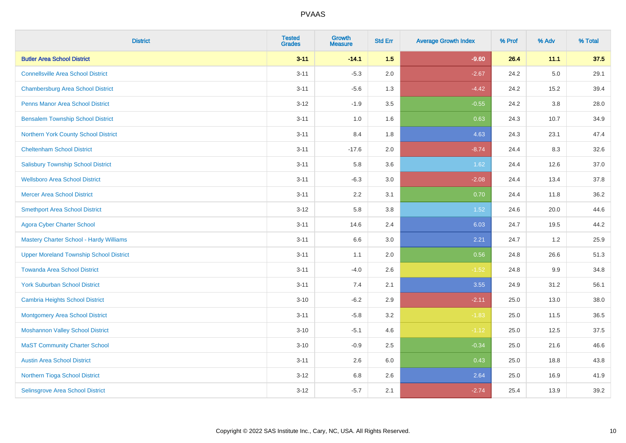| <b>District</b>                                | <b>Tested</b><br><b>Grades</b> | <b>Growth</b><br><b>Measure</b> | <b>Std Err</b> | <b>Average Growth Index</b> | % Prof | % Adv | % Total |
|------------------------------------------------|--------------------------------|---------------------------------|----------------|-----------------------------|--------|-------|---------|
| <b>Butler Area School District</b>             | $3 - 11$                       | $-14.1$                         | 1.5            | $-9.60$                     | 26.4   | 11.1  | 37.5    |
| <b>Connellsville Area School District</b>      | $3 - 11$                       | $-5.3$                          | 2.0            | $-2.67$                     | 24.2   | 5.0   | 29.1    |
| <b>Chambersburg Area School District</b>       | $3 - 11$                       | $-5.6$                          | 1.3            | $-4.42$                     | 24.2   | 15.2  | 39.4    |
| <b>Penns Manor Area School District</b>        | $3 - 12$                       | $-1.9$                          | 3.5            | $-0.55$                     | 24.2   | 3.8   | 28.0    |
| <b>Bensalem Township School District</b>       | $3 - 11$                       | 1.0                             | 1.6            | 0.63                        | 24.3   | 10.7  | 34.9    |
| Northern York County School District           | $3 - 11$                       | 8.4                             | 1.8            | 4.63                        | 24.3   | 23.1  | 47.4    |
| <b>Cheltenham School District</b>              | $3 - 11$                       | $-17.6$                         | 2.0            | $-8.74$                     | 24.4   | 8.3   | 32.6    |
| <b>Salisbury Township School District</b>      | $3 - 11$                       | 5.8                             | 3.6            | 1.62                        | 24.4   | 12.6  | 37.0    |
| <b>Wellsboro Area School District</b>          | $3 - 11$                       | $-6.3$                          | 3.0            | $-2.08$                     | 24.4   | 13.4  | 37.8    |
| <b>Mercer Area School District</b>             | $3 - 11$                       | 2.2                             | 3.1            | 0.70                        | 24.4   | 11.8  | 36.2    |
| <b>Smethport Area School District</b>          | $3-12$                         | 5.8                             | 3.8            | 1.52                        | 24.6   | 20.0  | 44.6    |
| <b>Agora Cyber Charter School</b>              | $3 - 11$                       | 14.6                            | 2.4            | 6.03                        | 24.7   | 19.5  | 44.2    |
| <b>Mastery Charter School - Hardy Williams</b> | $3 - 11$                       | 6.6                             | 3.0            | 2.21                        | 24.7   | 1.2   | 25.9    |
| <b>Upper Moreland Township School District</b> | $3 - 11$                       | 1.1                             | 2.0            | 0.56                        | 24.8   | 26.6  | 51.3    |
| <b>Towanda Area School District</b>            | $3 - 11$                       | $-4.0$                          | 2.6            | $-1.52$                     | 24.8   | 9.9   | 34.8    |
| <b>York Suburban School District</b>           | $3 - 11$                       | 7.4                             | 2.1            | 3.55                        | 24.9   | 31.2  | 56.1    |
| <b>Cambria Heights School District</b>         | $3 - 10$                       | $-6.2$                          | 2.9            | $-2.11$                     | 25.0   | 13.0  | 38.0    |
| <b>Montgomery Area School District</b>         | $3 - 11$                       | $-5.8$                          | 3.2            | $-1.83$                     | 25.0   | 11.5  | 36.5    |
| <b>Moshannon Valley School District</b>        | $3 - 10$                       | $-5.1$                          | 4.6            | $-1.12$                     | 25.0   | 12.5  | 37.5    |
| <b>MaST Community Charter School</b>           | $3 - 10$                       | $-0.9$                          | 2.5            | $-0.34$                     | 25.0   | 21.6  | 46.6    |
| <b>Austin Area School District</b>             | $3 - 11$                       | 2.6                             | 6.0            | 0.43                        | 25.0   | 18.8  | 43.8    |
| Northern Tioga School District                 | $3 - 12$                       | $6.8\,$                         | 2.6            | 2.64                        | 25.0   | 16.9  | 41.9    |
| <b>Selinsgrove Area School District</b>        | $3 - 12$                       | $-5.7$                          | 2.1            | $-2.74$                     | 25.4   | 13.9  | 39.2    |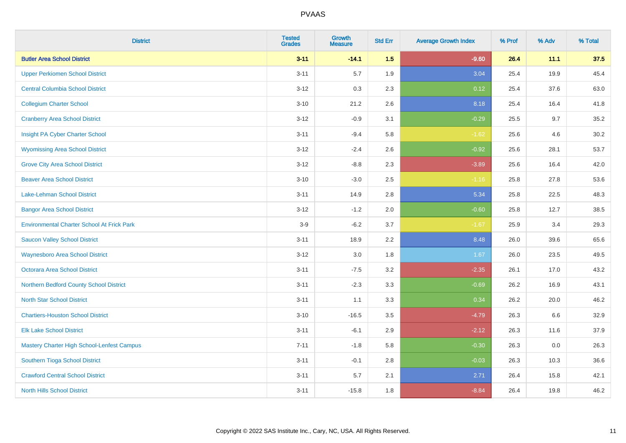| <b>District</b>                                   | <b>Tested</b><br><b>Grades</b> | <b>Growth</b><br><b>Measure</b> | <b>Std Err</b> | <b>Average Growth Index</b> | % Prof | % Adv | % Total |
|---------------------------------------------------|--------------------------------|---------------------------------|----------------|-----------------------------|--------|-------|---------|
| <b>Butler Area School District</b>                | $3 - 11$                       | $-14.1$                         | 1.5            | $-9.60$                     | 26.4   | 11.1  | 37.5    |
| <b>Upper Perkiomen School District</b>            | $3 - 11$                       | 5.7                             | 1.9            | 3.04                        | 25.4   | 19.9  | 45.4    |
| <b>Central Columbia School District</b>           | $3 - 12$                       | 0.3                             | 2.3            | 0.12                        | 25.4   | 37.6  | 63.0    |
| <b>Collegium Charter School</b>                   | $3 - 10$                       | 21.2                            | 2.6            | 8.18                        | 25.4   | 16.4  | 41.8    |
| <b>Cranberry Area School District</b>             | $3-12$                         | $-0.9$                          | 3.1            | $-0.29$                     | 25.5   | 9.7   | 35.2    |
| Insight PA Cyber Charter School                   | $3 - 11$                       | $-9.4$                          | 5.8            | $-1.62$                     | 25.6   | 4.6   | 30.2    |
| <b>Wyomissing Area School District</b>            | $3 - 12$                       | $-2.4$                          | 2.6            | $-0.92$                     | 25.6   | 28.1  | 53.7    |
| <b>Grove City Area School District</b>            | $3 - 12$                       | $-8.8$                          | 2.3            | $-3.89$                     | 25.6   | 16.4  | 42.0    |
| <b>Beaver Area School District</b>                | $3 - 10$                       | $-3.0$                          | 2.5            | $-1.16$                     | 25.8   | 27.8  | 53.6    |
| <b>Lake-Lehman School District</b>                | $3 - 11$                       | 14.9                            | 2.8            | 5.34                        | 25.8   | 22.5  | 48.3    |
| <b>Bangor Area School District</b>                | $3 - 12$                       | $-1.2$                          | 2.0            | $-0.60$                     | 25.8   | 12.7  | 38.5    |
| <b>Environmental Charter School At Frick Park</b> | $3-9$                          | $-6.2$                          | 3.7            | $-1.67$                     | 25.9   | 3.4   | 29.3    |
| <b>Saucon Valley School District</b>              | $3 - 11$                       | 18.9                            | 2.2            | 8.48                        | 26.0   | 39.6  | 65.6    |
| <b>Waynesboro Area School District</b>            | $3 - 12$                       | 3.0                             | 1.8            | 1.67                        | 26.0   | 23.5  | 49.5    |
| <b>Octorara Area School District</b>              | $3 - 11$                       | $-7.5$                          | 3.2            | $-2.35$                     | 26.1   | 17.0  | 43.2    |
| Northern Bedford County School District           | $3 - 11$                       | $-2.3$                          | 3.3            | $-0.69$                     | 26.2   | 16.9  | 43.1    |
| <b>North Star School District</b>                 | $3 - 11$                       | 1.1                             | 3.3            | 0.34                        | 26.2   | 20.0  | 46.2    |
| <b>Chartiers-Houston School District</b>          | $3 - 10$                       | $-16.5$                         | 3.5            | $-4.79$                     | 26.3   | 6.6   | 32.9    |
| <b>Elk Lake School District</b>                   | $3 - 11$                       | $-6.1$                          | 2.9            | $-2.12$                     | 26.3   | 11.6  | 37.9    |
| <b>Mastery Charter High School-Lenfest Campus</b> | $7 - 11$                       | $-1.8$                          | 5.8            | $-0.30$                     | 26.3   | 0.0   | 26.3    |
| Southern Tioga School District                    | $3 - 11$                       | $-0.1$                          | 2.8            | $-0.03$                     | 26.3   | 10.3  | 36.6    |
| <b>Crawford Central School District</b>           | $3 - 11$                       | 5.7                             | 2.1            | 2.71                        | 26.4   | 15.8  | 42.1    |
| <b>North Hills School District</b>                | $3 - 11$                       | $-15.8$                         | 1.8            | $-8.84$                     | 26.4   | 19.8  | 46.2    |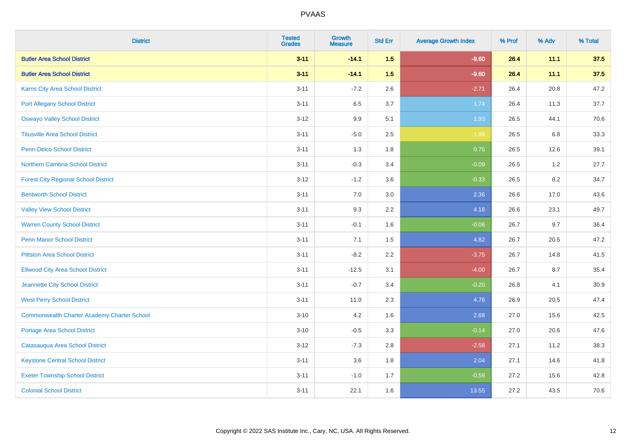| <b>District</b>                                    | <b>Tested</b><br><b>Grades</b> | <b>Growth</b><br><b>Measure</b> | <b>Std Err</b> | <b>Average Growth Index</b> | % Prof | % Adv | % Total |
|----------------------------------------------------|--------------------------------|---------------------------------|----------------|-----------------------------|--------|-------|---------|
| <b>Butler Area School District</b>                 | $3 - 11$                       | $-14.1$                         | 1.5            | $-9.60$                     | 26.4   | 11.1  | 37.5    |
| <b>Butler Area School District</b>                 | $3 - 11$                       | $-14.1$                         | 1.5            | $-9.60$                     | 26.4   | 11.1  | 37.5    |
| Karns City Area School District                    | $3 - 11$                       | $-7.2$                          | 2.6            | $-2.71$                     | 26.4   | 20.8  | 47.2    |
| <b>Port Allegany School District</b>               | $3 - 11$                       | 6.5                             | 3.7            | 1.74                        | 26.4   | 11.3  | 37.7    |
| <b>Oswayo Valley School District</b>               | $3 - 12$                       | 9.9                             | 5.1            | 1.93                        | 26.5   | 44.1  | 70.6    |
| <b>Titusville Area School District</b>             | $3 - 11$                       | $-5.0$                          | 2.5            | $-1.98$                     | 26.5   | 6.8   | 33.3    |
| Penn-Delco School District                         | $3 - 11$                       | 1.3                             | 1.8            | 0.75                        | 26.5   | 12.6  | 39.1    |
| Northern Cambria School District                   | $3 - 11$                       | $-0.3$                          | 3.4            | $-0.09$                     | 26.5   | 1.2   | 27.7    |
| <b>Forest City Regional School District</b>        | $3 - 12$                       | $-1.2$                          | 3.6            | $-0.33$                     | 26.5   | 8.2   | 34.7    |
| <b>Bentworth School District</b>                   | $3 - 11$                       | 7.0                             | 3.0            | 2.36                        | 26.6   | 17.0  | 43.6    |
| <b>Valley View School District</b>                 | $3 - 11$                       | 9.3                             | 2.2            | 4.18                        | 26.6   | 23.1  | 49.7    |
| <b>Warren County School District</b>               | $3 - 11$                       | $-0.1$                          | 1.6            | $-0.06$                     | 26.7   | 9.7   | 36.4    |
| Penn Manor School District                         | $3 - 11$                       | 7.1                             | 1.5            | 4.82                        | 26.7   | 20.5  | 47.2    |
| <b>Pittston Area School District</b>               | $3 - 11$                       | $-8.2$                          | 2.2            | $-3.75$                     | 26.7   | 14.8  | 41.5    |
| <b>Ellwood City Area School District</b>           | $3 - 11$                       | $-12.5$                         | 3.1            | $-4.00$                     | 26.7   | 8.7   | 35.4    |
| Jeannette City School District                     | $3 - 11$                       | $-0.7$                          | 3.4            | $-0.20$                     | 26.8   | 4.1   | 30.9    |
| <b>West Perry School District</b>                  | $3 - 11$                       | 11.0                            | 2.3            | 4.76                        | 26.9   | 20.5  | 47.4    |
| <b>Commonwealth Charter Academy Charter School</b> | $3 - 10$                       | 4.2                             | 1.6            | 2.68                        | 27.0   | 15.6  | 42.5    |
| <b>Portage Area School District</b>                | $3 - 10$                       | $-0.5$                          | 3.3            | $-0.14$                     | 27.0   | 20.6  | 47.6    |
| Catasauqua Area School District                    | $3 - 12$                       | $-7.3$                          | 2.8            | $-2.58$                     | 27.1   | 11.2  | 38.3    |
| <b>Keystone Central School District</b>            | $3 - 11$                       | 3.6                             | 1.8            | 2.04                        | 27.1   | 14.6  | 41.8    |
| <b>Exeter Township School District</b>             | $3 - 11$                       | $-1.0$                          | 1.7            | $-0.58$                     | 27.2   | 15.6  | 42.8    |
| <b>Colonial School District</b>                    | $3 - 11$                       | 22.1                            | 1.6            | 13.55                       | 27.2   | 43.5  | 70.6    |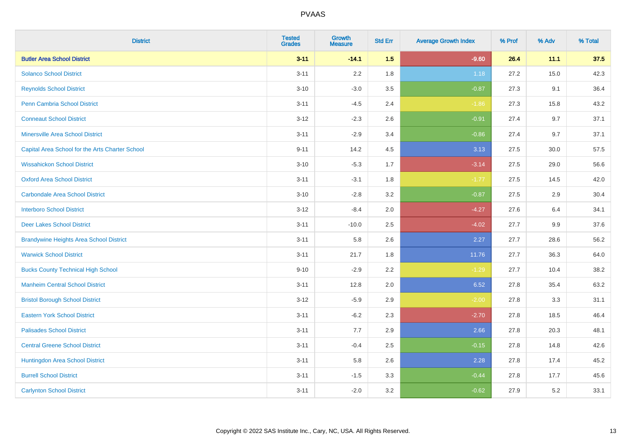| <b>District</b>                                 | <b>Tested</b><br><b>Grades</b> | <b>Growth</b><br><b>Measure</b> | <b>Std Err</b> | <b>Average Growth Index</b> | % Prof | % Adv | % Total |
|-------------------------------------------------|--------------------------------|---------------------------------|----------------|-----------------------------|--------|-------|---------|
| <b>Butler Area School District</b>              | $3 - 11$                       | $-14.1$                         | 1.5            | $-9.60$                     | 26.4   | 11.1  | 37.5    |
| <b>Solanco School District</b>                  | $3 - 11$                       | 2.2                             | 1.8            | 1.18                        | 27.2   | 15.0  | 42.3    |
| <b>Reynolds School District</b>                 | $3 - 10$                       | $-3.0$                          | 3.5            | $-0.87$                     | 27.3   | 9.1   | 36.4    |
| <b>Penn Cambria School District</b>             | $3 - 11$                       | $-4.5$                          | 2.4            | $-1.86$                     | 27.3   | 15.8  | 43.2    |
| <b>Conneaut School District</b>                 | $3 - 12$                       | $-2.3$                          | 2.6            | $-0.91$                     | 27.4   | 9.7   | 37.1    |
| <b>Minersville Area School District</b>         | $3 - 11$                       | $-2.9$                          | 3.4            | $-0.86$                     | 27.4   | 9.7   | 37.1    |
| Capital Area School for the Arts Charter School | $9 - 11$                       | 14.2                            | 4.5            | 3.13                        | 27.5   | 30.0  | 57.5    |
| <b>Wissahickon School District</b>              | $3 - 10$                       | $-5.3$                          | 1.7            | $-3.14$                     | 27.5   | 29.0  | 56.6    |
| <b>Oxford Area School District</b>              | $3 - 11$                       | $-3.1$                          | 1.8            | $-1.77$                     | 27.5   | 14.5  | 42.0    |
| <b>Carbondale Area School District</b>          | $3 - 10$                       | $-2.8$                          | 3.2            | $-0.87$                     | 27.5   | 2.9   | 30.4    |
| <b>Interboro School District</b>                | $3 - 12$                       | $-8.4$                          | 2.0            | $-4.27$                     | 27.6   | 6.4   | 34.1    |
| <b>Deer Lakes School District</b>               | $3 - 11$                       | $-10.0$                         | 2.5            | $-4.02$                     | 27.7   | 9.9   | 37.6    |
| <b>Brandywine Heights Area School District</b>  | $3 - 11$                       | 5.8                             | 2.6            | 2.27                        | 27.7   | 28.6  | 56.2    |
| <b>Warwick School District</b>                  | $3 - 11$                       | 21.7                            | 1.8            | 11.76                       | 27.7   | 36.3  | 64.0    |
| <b>Bucks County Technical High School</b>       | $9 - 10$                       | $-2.9$                          | 2.2            | $-1.29$                     | 27.7   | 10.4  | 38.2    |
| <b>Manheim Central School District</b>          | $3 - 11$                       | 12.8                            | 2.0            | 6.52                        | 27.8   | 35.4  | 63.2    |
| <b>Bristol Borough School District</b>          | $3 - 12$                       | $-5.9$                          | 2.9            | $-2.00$                     | 27.8   | 3.3   | 31.1    |
| <b>Eastern York School District</b>             | $3 - 11$                       | $-6.2$                          | 2.3            | $-2.70$                     | 27.8   | 18.5  | 46.4    |
| <b>Palisades School District</b>                | $3 - 11$                       | 7.7                             | 2.9            | 2.66                        | 27.8   | 20.3  | 48.1    |
| <b>Central Greene School District</b>           | $3 - 11$                       | $-0.4$                          | 2.5            | $-0.15$                     | 27.8   | 14.8  | 42.6    |
| Huntingdon Area School District                 | $3 - 11$                       | 5.8                             | 2.6            | 2.28                        | 27.8   | 17.4  | 45.2    |
| <b>Burrell School District</b>                  | $3 - 11$                       | $-1.5$                          | 3.3            | $-0.44$                     | 27.8   | 17.7  | 45.6    |
| <b>Carlynton School District</b>                | $3 - 11$                       | $-2.0$                          | 3.2            | $-0.62$                     | 27.9   | 5.2   | 33.1    |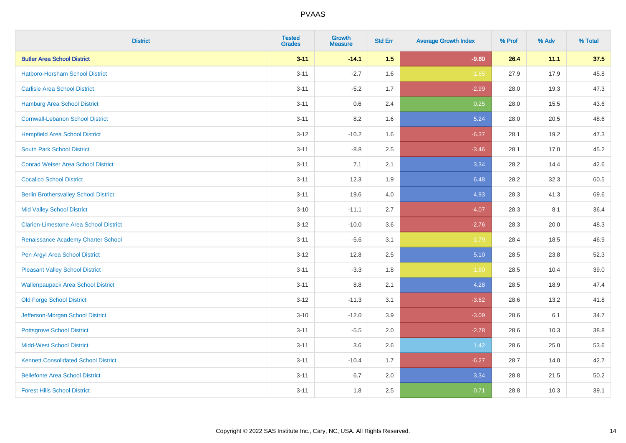| <b>District</b>                               | <b>Tested</b><br><b>Grades</b> | <b>Growth</b><br><b>Measure</b> | <b>Std Err</b> | <b>Average Growth Index</b> | % Prof | % Adv | % Total |
|-----------------------------------------------|--------------------------------|---------------------------------|----------------|-----------------------------|--------|-------|---------|
| <b>Butler Area School District</b>            | $3 - 11$                       | $-14.1$                         | 1.5            | $-9.60$                     | 26.4   | 11.1  | 37.5    |
| <b>Hatboro-Horsham School District</b>        | $3 - 11$                       | $-2.7$                          | 1.6            | $-1.65$                     | 27.9   | 17.9  | 45.8    |
| <b>Carlisle Area School District</b>          | $3 - 11$                       | $-5.2$                          | 1.7            | $-2.99$                     | 28.0   | 19.3  | 47.3    |
| <b>Hamburg Area School District</b>           | $3 - 11$                       | $0.6\,$                         | 2.4            | 0.25                        | 28.0   | 15.5  | 43.6    |
| <b>Cornwall-Lebanon School District</b>       | $3 - 11$                       | 8.2                             | 1.6            | 5.24                        | 28.0   | 20.5  | 48.6    |
| <b>Hempfield Area School District</b>         | $3 - 12$                       | $-10.2$                         | 1.6            | $-6.37$                     | 28.1   | 19.2  | 47.3    |
| <b>South Park School District</b>             | $3 - 11$                       | $-8.8$                          | 2.5            | $-3.46$                     | 28.1   | 17.0  | 45.2    |
| <b>Conrad Weiser Area School District</b>     | $3 - 11$                       | 7.1                             | 2.1            | 3.34                        | 28.2   | 14.4  | 42.6    |
| <b>Cocalico School District</b>               | $3 - 11$                       | 12.3                            | 1.9            | 6.48                        | 28.2   | 32.3  | 60.5    |
| <b>Berlin Brothersvalley School District</b>  | $3 - 11$                       | 19.6                            | 4.0            | 4.93                        | 28.3   | 41.3  | 69.6    |
| <b>Mid Valley School District</b>             | $3 - 10$                       | $-11.1$                         | 2.7            | $-4.07$                     | 28.3   | 8.1   | 36.4    |
| <b>Clarion-Limestone Area School District</b> | $3-12$                         | $-10.0$                         | 3.6            | $-2.76$                     | 28.3   | 20.0  | 48.3    |
| Renaissance Academy Charter School            | $3 - 11$                       | $-5.6$                          | 3.1            | $-1.79$                     | 28.4   | 18.5  | 46.9    |
| Pen Argyl Area School District                | $3 - 12$                       | 12.8                            | 2.5            | 5.10                        | 28.5   | 23.8  | 52.3    |
| <b>Pleasant Valley School District</b>        | $3 - 11$                       | $-3.3$                          | 1.8            | $-1.80$                     | 28.5   | 10.4  | 39.0    |
| <b>Wallenpaupack Area School District</b>     | $3 - 11$                       | 8.8                             | 2.1            | 4.28                        | 28.5   | 18.9  | 47.4    |
| <b>Old Forge School District</b>              | $3 - 12$                       | $-11.3$                         | 3.1            | $-3.62$                     | 28.6   | 13.2  | 41.8    |
| Jefferson-Morgan School District              | $3 - 10$                       | $-12.0$                         | 3.9            | $-3.09$                     | 28.6   | 6.1   | 34.7    |
| <b>Pottsgrove School District</b>             | $3 - 11$                       | $-5.5$                          | 2.0            | $-2.78$                     | 28.6   | 10.3  | 38.8    |
| <b>Midd-West School District</b>              | $3 - 11$                       | 3.6                             | 2.6            | 1.42                        | 28.6   | 25.0  | 53.6    |
| <b>Kennett Consolidated School District</b>   | $3 - 11$                       | $-10.4$                         | 1.7            | $-6.27$                     | 28.7   | 14.0  | 42.7    |
| <b>Bellefonte Area School District</b>        | $3 - 11$                       | $6.7\,$                         | 2.0            | 3.34                        | 28.8   | 21.5  | 50.2    |
| <b>Forest Hills School District</b>           | $3 - 11$                       | 1.8                             | 2.5            | 0.71                        | 28.8   | 10.3  | 39.1    |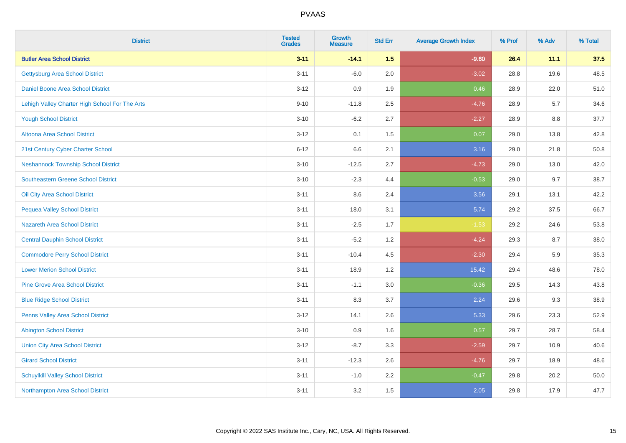| <b>District</b>                                | <b>Tested</b><br><b>Grades</b> | <b>Growth</b><br><b>Measure</b> | <b>Std Err</b> | <b>Average Growth Index</b> | % Prof | % Adv | % Total |
|------------------------------------------------|--------------------------------|---------------------------------|----------------|-----------------------------|--------|-------|---------|
| <b>Butler Area School District</b>             | $3 - 11$                       | $-14.1$                         | 1.5            | $-9.60$                     | 26.4   | 11.1  | 37.5    |
| <b>Gettysburg Area School District</b>         | $3 - 11$                       | $-6.0$                          | 2.0            | $-3.02$                     | 28.8   | 19.6  | 48.5    |
| Daniel Boone Area School District              | $3 - 12$                       | 0.9                             | 1.9            | 0.46                        | 28.9   | 22.0  | 51.0    |
| Lehigh Valley Charter High School For The Arts | $9 - 10$                       | $-11.8$                         | 2.5            | $-4.76$                     | 28.9   | 5.7   | 34.6    |
| <b>Yough School District</b>                   | $3 - 10$                       | $-6.2$                          | 2.7            | $-2.27$                     | 28.9   | 8.8   | 37.7    |
| <b>Altoona Area School District</b>            | $3 - 12$                       | 0.1                             | 1.5            | 0.07                        | 29.0   | 13.8  | 42.8    |
| 21st Century Cyber Charter School              | $6 - 12$                       | 6.6                             | 2.1            | 3.16                        | 29.0   | 21.8  | 50.8    |
| <b>Neshannock Township School District</b>     | $3 - 10$                       | $-12.5$                         | 2.7            | $-4.73$                     | 29.0   | 13.0  | 42.0    |
| <b>Southeastern Greene School District</b>     | $3 - 10$                       | $-2.3$                          | 4.4            | $-0.53$                     | 29.0   | 9.7   | 38.7    |
| Oil City Area School District                  | $3 - 11$                       | 8.6                             | 2.4            | 3.56                        | 29.1   | 13.1  | 42.2    |
| <b>Pequea Valley School District</b>           | $3 - 11$                       | 18.0                            | 3.1            | 5.74                        | 29.2   | 37.5  | 66.7    |
| <b>Nazareth Area School District</b>           | $3 - 11$                       | $-2.5$                          | 1.7            | $-1.53$                     | 29.2   | 24.6  | 53.8    |
| <b>Central Dauphin School District</b>         | $3 - 11$                       | $-5.2$                          | 1.2            | $-4.24$                     | 29.3   | 8.7   | 38.0    |
| <b>Commodore Perry School District</b>         | $3 - 11$                       | $-10.4$                         | 4.5            | $-2.30$                     | 29.4   | 5.9   | 35.3    |
| <b>Lower Merion School District</b>            | $3 - 11$                       | 18.9                            | 1.2            | 15.42                       | 29.4   | 48.6  | 78.0    |
| <b>Pine Grove Area School District</b>         | $3 - 11$                       | $-1.1$                          | 3.0            | $-0.36$                     | 29.5   | 14.3  | 43.8    |
| <b>Blue Ridge School District</b>              | $3 - 11$                       | 8.3                             | 3.7            | 2.24                        | 29.6   | 9.3   | 38.9    |
| Penns Valley Area School District              | $3 - 12$                       | 14.1                            | 2.6            | 5.33                        | 29.6   | 23.3  | 52.9    |
| <b>Abington School District</b>                | $3 - 10$                       | 0.9                             | 1.6            | 0.57                        | 29.7   | 28.7  | 58.4    |
| <b>Union City Area School District</b>         | $3 - 12$                       | $-8.7$                          | 3.3            | $-2.59$                     | 29.7   | 10.9  | 40.6    |
| <b>Girard School District</b>                  | $3 - 11$                       | $-12.3$                         | 2.6            | $-4.76$                     | 29.7   | 18.9  | 48.6    |
| <b>Schuylkill Valley School District</b>       | $3 - 11$                       | $-1.0$                          | 2.2            | $-0.47$                     | 29.8   | 20.2  | 50.0    |
| Northampton Area School District               | $3 - 11$                       | 3.2                             | 1.5            | 2.05                        | 29.8   | 17.9  | 47.7    |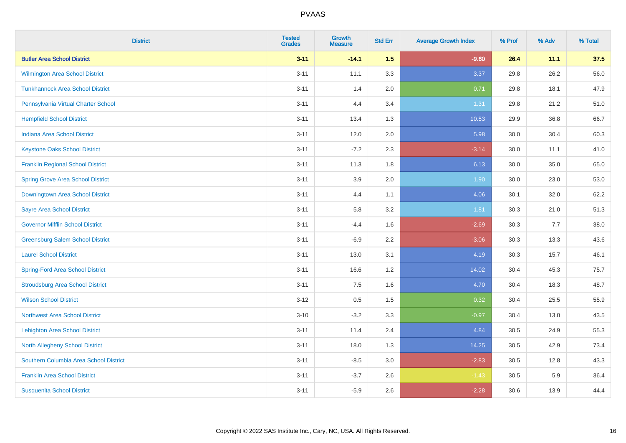| <b>District</b>                          | <b>Tested</b><br><b>Grades</b> | <b>Growth</b><br><b>Measure</b> | <b>Std Err</b> | <b>Average Growth Index</b> | % Prof | % Adv | % Total |
|------------------------------------------|--------------------------------|---------------------------------|----------------|-----------------------------|--------|-------|---------|
| <b>Butler Area School District</b>       | $3 - 11$                       | $-14.1$                         | 1.5            | $-9.60$                     | 26.4   | 11.1  | 37.5    |
| Wilmington Area School District          | $3 - 11$                       | 11.1                            | 3.3            | 3.37                        | 29.8   | 26.2  | 56.0    |
| <b>Tunkhannock Area School District</b>  | $3 - 11$                       | 1.4                             | 2.0            | 0.71                        | 29.8   | 18.1  | 47.9    |
| Pennsylvania Virtual Charter School      | $3 - 11$                       | 4.4                             | 3.4            | 1.31                        | 29.8   | 21.2  | 51.0    |
| <b>Hempfield School District</b>         | $3 - 11$                       | 13.4                            | 1.3            | 10.53                       | 29.9   | 36.8  | 66.7    |
| <b>Indiana Area School District</b>      | $3 - 11$                       | 12.0                            | 2.0            | 5.98                        | 30.0   | 30.4  | 60.3    |
| <b>Keystone Oaks School District</b>     | $3 - 11$                       | $-7.2$                          | 2.3            | $-3.14$                     | 30.0   | 11.1  | 41.0    |
| <b>Franklin Regional School District</b> | $3 - 11$                       | 11.3                            | 1.8            | 6.13                        | 30.0   | 35.0  | 65.0    |
| <b>Spring Grove Area School District</b> | $3 - 11$                       | 3.9                             | 2.0            | 1.90                        | 30.0   | 23.0  | 53.0    |
| Downingtown Area School District         | $3 - 11$                       | 4.4                             | 1.1            | 4.06                        | 30.1   | 32.0  | 62.2    |
| <b>Sayre Area School District</b>        | $3 - 11$                       | 5.8                             | 3.2            | 1.81                        | 30.3   | 21.0  | 51.3    |
| <b>Governor Mifflin School District</b>  | $3 - 11$                       | $-4.4$                          | 1.6            | $-2.69$                     | 30.3   | 7.7   | 38.0    |
| <b>Greensburg Salem School District</b>  | $3 - 11$                       | $-6.9$                          | 2.2            | $-3.06$                     | 30.3   | 13.3  | 43.6    |
| <b>Laurel School District</b>            | $3 - 11$                       | 13.0                            | 3.1            | 4.19                        | 30.3   | 15.7  | 46.1    |
| <b>Spring-Ford Area School District</b>  | $3 - 11$                       | 16.6                            | 1.2            | 14.02                       | 30.4   | 45.3  | 75.7    |
| <b>Stroudsburg Area School District</b>  | $3 - 11$                       | $7.5\,$                         | 1.6            | 4.70                        | 30.4   | 18.3  | 48.7    |
| <b>Wilson School District</b>            | $3 - 12$                       | $0.5\,$                         | 1.5            | 0.32                        | 30.4   | 25.5  | 55.9    |
| <b>Northwest Area School District</b>    | $3 - 10$                       | $-3.2$                          | 3.3            | $-0.97$                     | 30.4   | 13.0  | 43.5    |
| <b>Lehighton Area School District</b>    | $3 - 11$                       | 11.4                            | 2.4            | 4.84                        | 30.5   | 24.9  | 55.3    |
| <b>North Allegheny School District</b>   | $3 - 11$                       | 18.0                            | 1.3            | 14.25                       | 30.5   | 42.9  | 73.4    |
| Southern Columbia Area School District   | $3 - 11$                       | $-8.5$                          | 3.0            | $-2.83$                     | 30.5   | 12.8  | 43.3    |
| <b>Franklin Area School District</b>     | $3 - 11$                       | $-3.7$                          | 2.6            | $-1.43$                     | 30.5   | 5.9   | 36.4    |
| <b>Susquenita School District</b>        | $3 - 11$                       | $-5.9$                          | 2.6            | $-2.28$                     | 30.6   | 13.9  | 44.4    |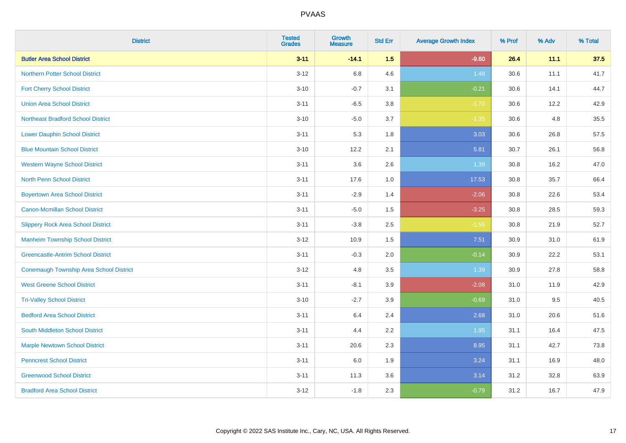| <b>District</b>                                | <b>Tested</b><br><b>Grades</b> | Growth<br><b>Measure</b> | <b>Std Err</b> | <b>Average Growth Index</b> | % Prof | % Adv | % Total |
|------------------------------------------------|--------------------------------|--------------------------|----------------|-----------------------------|--------|-------|---------|
| <b>Butler Area School District</b>             | $3 - 11$                       | $-14.1$                  | 1.5            | $-9.60$                     | 26.4   | 11.1  | 37.5    |
| <b>Northern Potter School District</b>         | $3 - 12$                       | 6.8                      | 4.6            | 1.48                        | 30.6   | 11.1  | 41.7    |
| <b>Fort Cherry School District</b>             | $3 - 10$                       | $-0.7$                   | 3.1            | $-0.21$                     | 30.6   | 14.1  | 44.7    |
| <b>Union Area School District</b>              | $3 - 11$                       | $-6.5$                   | 3.8            | $-1.70$                     | 30.6   | 12.2  | 42.9    |
| <b>Northeast Bradford School District</b>      | $3 - 10$                       | $-5.0$                   | 3.7            | $-1.35$                     | 30.6   | 4.8   | 35.5    |
| <b>Lower Dauphin School District</b>           | $3 - 11$                       | 5.3                      | 1.8            | 3.03                        | 30.6   | 26.8  | 57.5    |
| <b>Blue Mountain School District</b>           | $3 - 10$                       | 12.2                     | 2.1            | 5.81                        | 30.7   | 26.1  | 56.8    |
| <b>Western Wayne School District</b>           | $3 - 11$                       | 3.6                      | 2.6            | 1.39                        | 30.8   | 16.2  | 47.0    |
| <b>North Penn School District</b>              | $3 - 11$                       | 17.6                     | 1.0            | 17.53                       | 30.8   | 35.7  | 66.4    |
| <b>Boyertown Area School District</b>          | $3 - 11$                       | $-2.9$                   | 1.4            | $-2.06$                     | 30.8   | 22.6  | 53.4    |
| <b>Canon-Mcmillan School District</b>          | $3 - 11$                       | $-5.0$                   | 1.5            | $-3.25$                     | 30.8   | 28.5  | 59.3    |
| <b>Slippery Rock Area School District</b>      | $3 - 11$                       | $-3.8$                   | 2.5            | $-1.56$                     | 30.8   | 21.9  | 52.7    |
| <b>Manheim Township School District</b>        | $3 - 12$                       | 10.9                     | 1.5            | 7.51                        | 30.9   | 31.0  | 61.9    |
| <b>Greencastle-Antrim School District</b>      | $3 - 11$                       | $-0.3$                   | 2.0            | $-0.14$                     | 30.9   | 22.2  | 53.1    |
| <b>Conemaugh Township Area School District</b> | $3 - 12$                       | 4.8                      | 3.5            | 1.39                        | 30.9   | 27.8  | 58.8    |
| <b>West Greene School District</b>             | $3 - 11$                       | $-8.1$                   | 3.9            | $-2.08$                     | 31.0   | 11.9  | 42.9    |
| <b>Tri-Valley School District</b>              | $3 - 10$                       | $-2.7$                   | 3.9            | $-0.69$                     | 31.0   | 9.5   | 40.5    |
| <b>Bedford Area School District</b>            | $3 - 11$                       | 6.4                      | 2.4            | 2.68                        | 31.0   | 20.6  | 51.6    |
| South Middleton School District                | $3 - 11$                       | 4.4                      | 2.2            | 1.95                        | 31.1   | 16.4  | 47.5    |
| <b>Marple Newtown School District</b>          | $3 - 11$                       | 20.6                     | 2.3            | 8.95                        | 31.1   | 42.7  | 73.8    |
| <b>Penncrest School District</b>               | $3 - 11$                       | 6.0                      | 1.9            | 3.24                        | 31.1   | 16.9  | 48.0    |
| <b>Greenwood School District</b>               | $3 - 11$                       | 11.3                     | 3.6            | 3.14                        | 31.2   | 32.8  | 63.9    |
| <b>Bradford Area School District</b>           | $3 - 12$                       | $-1.8$                   | 2.3            | $-0.79$                     | 31.2   | 16.7  | 47.9    |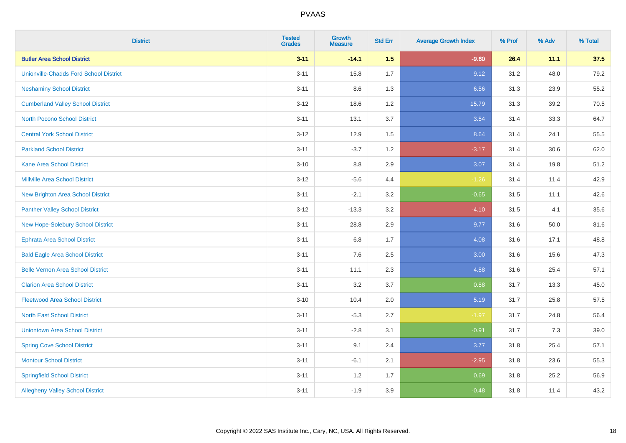| <b>District</b>                               | <b>Tested</b><br><b>Grades</b> | <b>Growth</b><br><b>Measure</b> | <b>Std Err</b> | <b>Average Growth Index</b> | % Prof | % Adv | % Total |
|-----------------------------------------------|--------------------------------|---------------------------------|----------------|-----------------------------|--------|-------|---------|
| <b>Butler Area School District</b>            | $3 - 11$                       | $-14.1$                         | 1.5            | $-9.60$                     | 26.4   | 11.1  | 37.5    |
| <b>Unionville-Chadds Ford School District</b> | $3 - 11$                       | 15.8                            | 1.7            | 9.12                        | 31.2   | 48.0  | 79.2    |
| <b>Neshaminy School District</b>              | $3 - 11$                       | 8.6                             | 1.3            | 6.56                        | 31.3   | 23.9  | 55.2    |
| <b>Cumberland Valley School District</b>      | $3 - 12$                       | 18.6                            | 1.2            | 15.79                       | 31.3   | 39.2  | 70.5    |
| <b>North Pocono School District</b>           | $3 - 11$                       | 13.1                            | 3.7            | 3.54                        | 31.4   | 33.3  | 64.7    |
| <b>Central York School District</b>           | $3 - 12$                       | 12.9                            | 1.5            | 8.64                        | 31.4   | 24.1  | 55.5    |
| <b>Parkland School District</b>               | $3 - 11$                       | $-3.7$                          | 1.2            | $-3.17$                     | 31.4   | 30.6  | 62.0    |
| <b>Kane Area School District</b>              | $3 - 10$                       | 8.8                             | 2.9            | 3.07                        | 31.4   | 19.8  | 51.2    |
| <b>Millville Area School District</b>         | $3 - 12$                       | $-5.6$                          | 4.4            | $-1.26$                     | 31.4   | 11.4  | 42.9    |
| <b>New Brighton Area School District</b>      | $3 - 11$                       | $-2.1$                          | 3.2            | $-0.65$                     | 31.5   | 11.1  | 42.6    |
| <b>Panther Valley School District</b>         | $3-12$                         | $-13.3$                         | 3.2            | $-4.10$                     | 31.5   | 4.1   | 35.6    |
| New Hope-Solebury School District             | $3 - 11$                       | 28.8                            | 2.9            | 9.77                        | 31.6   | 50.0  | 81.6    |
| <b>Ephrata Area School District</b>           | $3 - 11$                       | $6.8\,$                         | 1.7            | 4.08                        | 31.6   | 17.1  | 48.8    |
| <b>Bald Eagle Area School District</b>        | $3 - 11$                       | 7.6                             | 2.5            | 3.00                        | 31.6   | 15.6  | 47.3    |
| <b>Belle Vernon Area School District</b>      | $3 - 11$                       | 11.1                            | 2.3            | 4.88                        | 31.6   | 25.4  | 57.1    |
| <b>Clarion Area School District</b>           | $3 - 11$                       | 3.2                             | 3.7            | 0.88                        | 31.7   | 13.3  | 45.0    |
| <b>Fleetwood Area School District</b>         | $3 - 10$                       | 10.4                            | 2.0            | 5.19                        | 31.7   | 25.8  | 57.5    |
| <b>North East School District</b>             | $3 - 11$                       | $-5.3$                          | 2.7            | $-1.97$                     | 31.7   | 24.8  | 56.4    |
| <b>Uniontown Area School District</b>         | $3 - 11$                       | $-2.8$                          | 3.1            | $-0.91$                     | 31.7   | 7.3   | 39.0    |
| <b>Spring Cove School District</b>            | $3 - 11$                       | 9.1                             | 2.4            | 3.77                        | 31.8   | 25.4  | 57.1    |
| <b>Montour School District</b>                | $3 - 11$                       | $-6.1$                          | 2.1            | $-2.95$                     | 31.8   | 23.6  | 55.3    |
| <b>Springfield School District</b>            | $3 - 11$                       | 1.2                             | 1.7            | 0.69                        | 31.8   | 25.2  | 56.9    |
| <b>Allegheny Valley School District</b>       | $3 - 11$                       | $-1.9$                          | 3.9            | $-0.48$                     | 31.8   | 11.4  | 43.2    |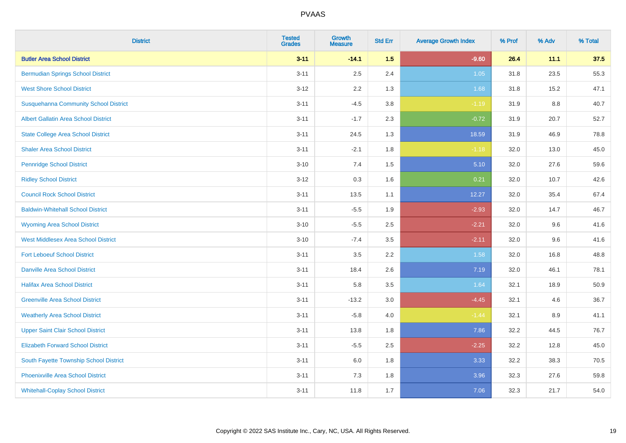| <b>District</b>                              | <b>Tested</b><br><b>Grades</b> | <b>Growth</b><br><b>Measure</b> | <b>Std Err</b> | <b>Average Growth Index</b> | % Prof | % Adv | % Total |
|----------------------------------------------|--------------------------------|---------------------------------|----------------|-----------------------------|--------|-------|---------|
| <b>Butler Area School District</b>           | $3 - 11$                       | $-14.1$                         | 1.5            | $-9.60$                     | 26.4   | 11.1  | 37.5    |
| <b>Bermudian Springs School District</b>     | $3 - 11$                       | 2.5                             | 2.4            | 1.05                        | 31.8   | 23.5  | 55.3    |
| <b>West Shore School District</b>            | $3 - 12$                       | 2.2                             | 1.3            | 1.68                        | 31.8   | 15.2  | 47.1    |
| <b>Susquehanna Community School District</b> | $3 - 11$                       | $-4.5$                          | 3.8            | $-1.19$                     | 31.9   | 8.8   | 40.7    |
| <b>Albert Gallatin Area School District</b>  | $3 - 11$                       | $-1.7$                          | 2.3            | $-0.72$                     | 31.9   | 20.7  | 52.7    |
| <b>State College Area School District</b>    | $3 - 11$                       | 24.5                            | 1.3            | 18.59                       | 31.9   | 46.9  | 78.8    |
| <b>Shaler Area School District</b>           | $3 - 11$                       | $-2.1$                          | 1.8            | $-1.18$                     | 32.0   | 13.0  | 45.0    |
| <b>Pennridge School District</b>             | $3 - 10$                       | 7.4                             | 1.5            | 5.10                        | 32.0   | 27.6  | 59.6    |
| <b>Ridley School District</b>                | $3 - 12$                       | 0.3                             | 1.6            | 0.21                        | 32.0   | 10.7  | 42.6    |
| <b>Council Rock School District</b>          | $3 - 11$                       | 13.5                            | 1.1            | 12.27                       | 32.0   | 35.4  | 67.4    |
| <b>Baldwin-Whitehall School District</b>     | $3 - 11$                       | $-5.5$                          | 1.9            | $-2.93$                     | 32.0   | 14.7  | 46.7    |
| <b>Wyoming Area School District</b>          | $3 - 10$                       | $-5.5$                          | 2.5            | $-2.21$                     | 32.0   | 9.6   | 41.6    |
| <b>West Middlesex Area School District</b>   | $3 - 10$                       | $-7.4$                          | 3.5            | $-2.11$                     | 32.0   | 9.6   | 41.6    |
| <b>Fort Leboeuf School District</b>          | $3 - 11$                       | $3.5\,$                         | 2.2            | 1.58                        | 32.0   | 16.8  | 48.8    |
| <b>Danville Area School District</b>         | $3 - 11$                       | 18.4                            | 2.6            | 7.19                        | 32.0   | 46.1  | 78.1    |
| <b>Halifax Area School District</b>          | $3 - 11$                       | 5.8                             | 3.5            | 1.64                        | 32.1   | 18.9  | 50.9    |
| <b>Greenville Area School District</b>       | $3 - 11$                       | $-13.2$                         | 3.0            | $-4.45$                     | 32.1   | 4.6   | 36.7    |
| <b>Weatherly Area School District</b>        | $3 - 11$                       | $-5.8$                          | 4.0            | $-1.44$                     | 32.1   | 8.9   | 41.1    |
| <b>Upper Saint Clair School District</b>     | $3 - 11$                       | 13.8                            | 1.8            | 7.86                        | 32.2   | 44.5  | 76.7    |
| <b>Elizabeth Forward School District</b>     | $3 - 11$                       | $-5.5$                          | 2.5            | $-2.25$                     | 32.2   | 12.8  | 45.0    |
| South Fayette Township School District       | $3 - 11$                       | 6.0                             | 1.8            | 3.33                        | 32.2   | 38.3  | 70.5    |
| <b>Phoenixville Area School District</b>     | $3 - 11$                       | $7.3$                           | 1.8            | 3.96                        | 32.3   | 27.6  | 59.8    |
| <b>Whitehall-Coplay School District</b>      | $3 - 11$                       | 11.8                            | 1.7            | 7.06                        | 32.3   | 21.7  | 54.0    |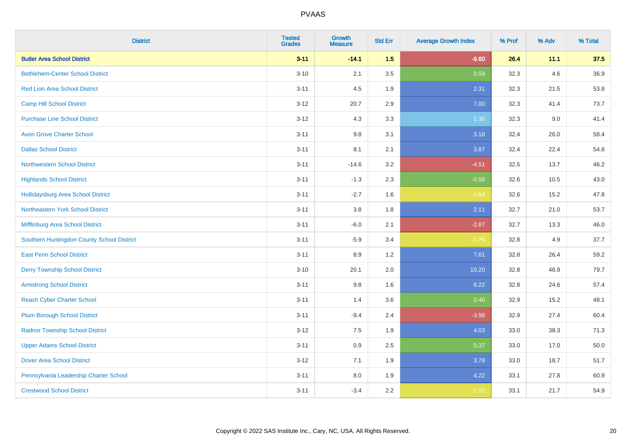| <b>District</b>                            | <b>Tested</b><br><b>Grades</b> | <b>Growth</b><br><b>Measure</b> | <b>Std Err</b> | <b>Average Growth Index</b> | % Prof | % Adv | % Total |
|--------------------------------------------|--------------------------------|---------------------------------|----------------|-----------------------------|--------|-------|---------|
| <b>Butler Area School District</b>         | $3 - 11$                       | $-14.1$                         | 1.5            | $-9.60$                     | 26.4   | 11.1  | 37.5    |
| <b>Bethlehem-Center School District</b>    | $3 - 10$                       | 2.1                             | 3.5            | 0.59                        | 32.3   | 4.6   | 36.9    |
| <b>Red Lion Area School District</b>       | $3 - 11$                       | 4.5                             | 1.9            | 2.31                        | 32.3   | 21.5  | 53.8    |
| <b>Camp Hill School District</b>           | $3 - 12$                       | 20.7                            | 2.9            | 7.00                        | 32.3   | 41.4  | 73.7    |
| <b>Purchase Line School District</b>       | $3-12$                         | 4.3                             | 3.3            | 1.30                        | 32.3   | 9.0   | 41.4    |
| <b>Avon Grove Charter School</b>           | $3 - 11$                       | 9.8                             | 3.1            | 3.18                        | 32.4   | 26.0  | 58.4    |
| <b>Dallas School District</b>              | $3 - 11$                       | 8.1                             | 2.1            | 3.87                        | 32.4   | 22.4  | 54.8    |
| <b>Northwestern School District</b>        | $3 - 11$                       | $-14.6$                         | 3.2            | $-4.51$                     | 32.5   | 13.7  | 46.2    |
| <b>Highlands School District</b>           | $3 - 11$                       | $-1.3$                          | 2.3            | $-0.55$                     | 32.6   | 10.5  | 43.0    |
| <b>Hollidaysburg Area School District</b>  | $3 - 11$                       | $-2.7$                          | 1.6            | $-1.64$                     | 32.6   | 15.2  | 47.8    |
| Northeastern York School District          | $3 - 11$                       | 3.8                             | 1.8            | 2.11                        | 32.7   | 21.0  | 53.7    |
| Mifflinburg Area School District           | $3 - 11$                       | $-6.0$                          | 2.1            | $-2.87$                     | 32.7   | 13.3  | 46.0    |
| Southern Huntingdon County School District | $3 - 11$                       | $-5.9$                          | 3.4            | $-1.76$                     | 32.8   | 4.9   | 37.7    |
| <b>East Penn School District</b>           | $3 - 11$                       | 8.9                             | 1.2            | 7.61                        | 32.8   | 26.4  | 59.2    |
| <b>Derry Township School District</b>      | $3 - 10$                       | 20.1                            | 2.0            | 10.20                       | 32.8   | 46.9  | 79.7    |
| <b>Armstrong School District</b>           | $3 - 11$                       | $9.8\,$                         | 1.6            | 6.22                        | 32.8   | 24.6  | 57.4    |
| <b>Reach Cyber Charter School</b>          | $3 - 11$                       | 1.4                             | 3.6            | 0.40                        | 32.9   | 15.2  | 48.1    |
| <b>Plum Borough School District</b>        | $3 - 11$                       | $-9.4$                          | 2.4            | $-3.98$                     | 32.9   | 27.4  | 60.4    |
| <b>Radnor Township School District</b>     | $3 - 12$                       | $7.5\,$                         | 1.9            | 4.03                        | 33.0   | 38.3  | 71.3    |
| <b>Upper Adams School District</b>         | $3 - 11$                       | $0.9\,$                         | 2.5            | 0.37                        | 33.0   | 17.0  | 50.0    |
| <b>Dover Area School District</b>          | $3 - 12$                       | 7.1                             | 1.9            | 3.78                        | 33.0   | 18.7  | 51.7    |
| Pennsylvania Leadership Charter School     | $3 - 11$                       | $8.0\,$                         | 1.9            | 4.22                        | 33.1   | 27.8  | 60.9    |
| <b>Crestwood School District</b>           | $3 - 11$                       | $-3.4$                          | 2.2            | $-1.52$                     | 33.1   | 21.7  | 54.9    |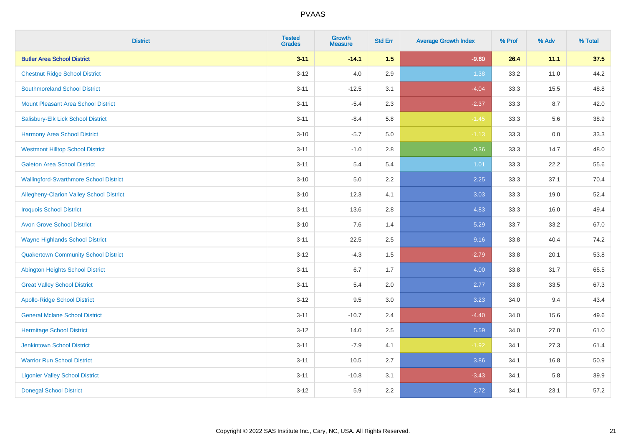| <b>District</b>                                 | <b>Tested</b><br><b>Grades</b> | <b>Growth</b><br><b>Measure</b> | <b>Std Err</b> | <b>Average Growth Index</b> | % Prof | % Adv | % Total |
|-------------------------------------------------|--------------------------------|---------------------------------|----------------|-----------------------------|--------|-------|---------|
| <b>Butler Area School District</b>              | $3 - 11$                       | $-14.1$                         | 1.5            | $-9.60$                     | 26.4   | 11.1  | 37.5    |
| <b>Chestnut Ridge School District</b>           | $3 - 12$                       | 4.0                             | 2.9            | 1.38                        | 33.2   | 11.0  | 44.2    |
| <b>Southmoreland School District</b>            | $3 - 11$                       | $-12.5$                         | 3.1            | $-4.04$                     | 33.3   | 15.5  | 48.8    |
| <b>Mount Pleasant Area School District</b>      | $3 - 11$                       | $-5.4$                          | 2.3            | $-2.37$                     | 33.3   | 8.7   | 42.0    |
| Salisbury-Elk Lick School District              | $3 - 11$                       | $-8.4$                          | 5.8            | $-1.45$                     | 33.3   | 5.6   | 38.9    |
| Harmony Area School District                    | $3 - 10$                       | $-5.7$                          | 5.0            | $-1.13$                     | 33.3   | 0.0   | 33.3    |
| <b>Westmont Hilltop School District</b>         | $3 - 11$                       | $-1.0$                          | 2.8            | $-0.36$                     | 33.3   | 14.7  | 48.0    |
| <b>Galeton Area School District</b>             | $3 - 11$                       | 5.4                             | 5.4            | 1.01                        | 33.3   | 22.2  | 55.6    |
| <b>Wallingford-Swarthmore School District</b>   | $3 - 10$                       | 5.0                             | 2.2            | 2.25                        | 33.3   | 37.1  | 70.4    |
| <b>Allegheny-Clarion Valley School District</b> | $3 - 10$                       | 12.3                            | 4.1            | 3.03                        | 33.3   | 19.0  | 52.4    |
| <b>Iroquois School District</b>                 | $3 - 11$                       | 13.6                            | 2.8            | 4.83                        | 33.3   | 16.0  | 49.4    |
| <b>Avon Grove School District</b>               | $3 - 10$                       | 7.6                             | 1.4            | 5.29                        | 33.7   | 33.2  | 67.0    |
| <b>Wayne Highlands School District</b>          | $3 - 11$                       | 22.5                            | 2.5            | 9.16                        | 33.8   | 40.4  | 74.2    |
| <b>Quakertown Community School District</b>     | $3 - 12$                       | $-4.3$                          | $1.5\,$        | $-2.79$                     | 33.8   | 20.1  | 53.8    |
| <b>Abington Heights School District</b>         | $3 - 11$                       | 6.7                             | 1.7            | 4.00                        | 33.8   | 31.7  | 65.5    |
| <b>Great Valley School District</b>             | $3 - 11$                       | 5.4                             | 2.0            | 2.77                        | 33.8   | 33.5  | 67.3    |
| <b>Apollo-Ridge School District</b>             | $3-12$                         | 9.5                             | 3.0            | 3.23                        | 34.0   | 9.4   | 43.4    |
| <b>General Mclane School District</b>           | $3 - 11$                       | $-10.7$                         | 2.4            | $-4.40$                     | 34.0   | 15.6  | 49.6    |
| <b>Hermitage School District</b>                | $3 - 12$                       | 14.0                            | 2.5            | 5.59                        | 34.0   | 27.0  | 61.0    |
| <b>Jenkintown School District</b>               | $3 - 11$                       | $-7.9$                          | 4.1            | $-1.92$                     | 34.1   | 27.3  | 61.4    |
| <b>Warrior Run School District</b>              | $3 - 11$                       | 10.5                            | 2.7            | 3.86                        | 34.1   | 16.8  | 50.9    |
| <b>Ligonier Valley School District</b>          | $3 - 11$                       | $-10.8$                         | 3.1            | $-3.43$                     | 34.1   | 5.8   | 39.9    |
| <b>Donegal School District</b>                  | $3 - 12$                       | 5.9                             | 2.2            | 2.72                        | 34.1   | 23.1  | 57.2    |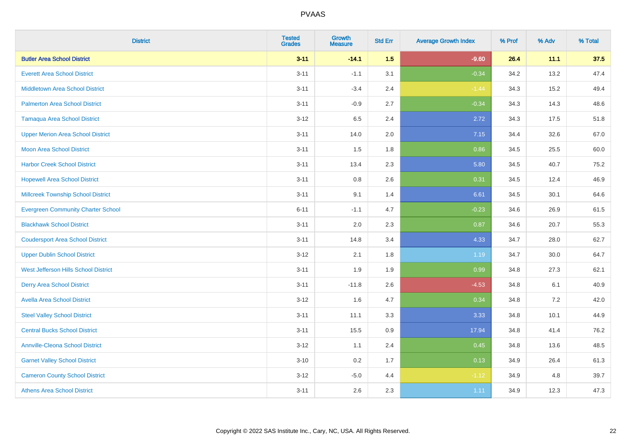| <b>District</b>                           | <b>Tested</b><br><b>Grades</b> | Growth<br><b>Measure</b> | <b>Std Err</b> | <b>Average Growth Index</b> | % Prof | % Adv | % Total |
|-------------------------------------------|--------------------------------|--------------------------|----------------|-----------------------------|--------|-------|---------|
| <b>Butler Area School District</b>        | $3 - 11$                       | $-14.1$                  | 1.5            | $-9.60$                     | 26.4   | 11.1  | 37.5    |
| <b>Everett Area School District</b>       | $3 - 11$                       | $-1.1$                   | 3.1            | $-0.34$                     | 34.2   | 13.2  | 47.4    |
| <b>Middletown Area School District</b>    | $3 - 11$                       | $-3.4$                   | 2.4            | $-1.44$                     | 34.3   | 15.2  | 49.4    |
| <b>Palmerton Area School District</b>     | $3 - 11$                       | $-0.9$                   | 2.7            | $-0.34$                     | 34.3   | 14.3  | 48.6    |
| <b>Tamaqua Area School District</b>       | $3 - 12$                       | 6.5                      | 2.4            | 2.72                        | 34.3   | 17.5  | 51.8    |
| <b>Upper Merion Area School District</b>  | $3 - 11$                       | 14.0                     | 2.0            | 7.15                        | 34.4   | 32.6  | 67.0    |
| <b>Moon Area School District</b>          | $3 - 11$                       | 1.5                      | 1.8            | 0.86                        | 34.5   | 25.5  | 60.0    |
| <b>Harbor Creek School District</b>       | $3 - 11$                       | 13.4                     | 2.3            | 5.80                        | 34.5   | 40.7  | 75.2    |
| <b>Hopewell Area School District</b>      | $3 - 11$                       | 0.8                      | 2.6            | 0.31                        | 34.5   | 12.4  | 46.9    |
| <b>Millcreek Township School District</b> | $3 - 11$                       | 9.1                      | 1.4            | 6.61                        | 34.5   | 30.1  | 64.6    |
| <b>Evergreen Community Charter School</b> | $6 - 11$                       | $-1.1$                   | 4.7            | $-0.23$                     | 34.6   | 26.9  | 61.5    |
| <b>Blackhawk School District</b>          | $3 - 11$                       | 2.0                      | 2.3            | 0.87                        | 34.6   | 20.7  | 55.3    |
| <b>Coudersport Area School District</b>   | $3 - 11$                       | 14.8                     | 3.4            | 4.33                        | 34.7   | 28.0  | 62.7    |
| <b>Upper Dublin School District</b>       | $3 - 12$                       | 2.1                      | 1.8            | 1.19                        | 34.7   | 30.0  | 64.7    |
| West Jefferson Hills School District      | $3 - 11$                       | 1.9                      | 1.9            | 0.99                        | 34.8   | 27.3  | 62.1    |
| <b>Derry Area School District</b>         | $3 - 11$                       | $-11.8$                  | 2.6            | $-4.53$                     | 34.8   | 6.1   | 40.9    |
| <b>Avella Area School District</b>        | $3 - 12$                       | 1.6                      | 4.7            | 0.34                        | 34.8   | 7.2   | 42.0    |
| <b>Steel Valley School District</b>       | $3 - 11$                       | 11.1                     | 3.3            | 3.33                        | 34.8   | 10.1  | 44.9    |
| <b>Central Bucks School District</b>      | $3 - 11$                       | 15.5                     | 0.9            | 17.94                       | 34.8   | 41.4  | 76.2    |
| <b>Annville-Cleona School District</b>    | $3 - 12$                       | 1.1                      | 2.4            | 0.45                        | 34.8   | 13.6  | 48.5    |
| <b>Garnet Valley School District</b>      | $3 - 10$                       | 0.2                      | 1.7            | 0.13                        | 34.9   | 26.4  | 61.3    |
| <b>Cameron County School District</b>     | $3 - 12$                       | $-5.0$                   | 4.4            | $-1.12$                     | 34.9   | 4.8   | 39.7    |
| <b>Athens Area School District</b>        | $3 - 11$                       | 2.6                      | 2.3            | 1.11                        | 34.9   | 12.3  | 47.3    |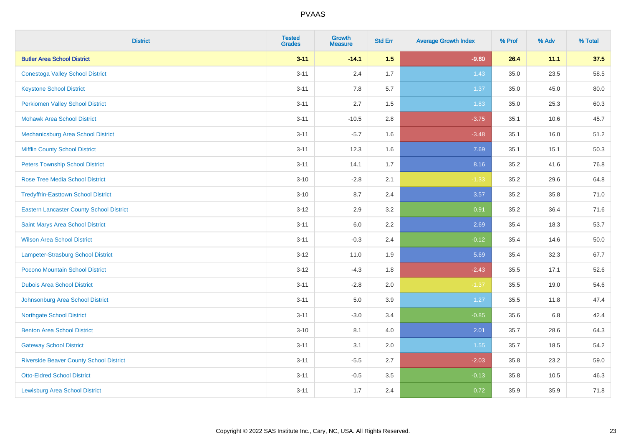| <b>District</b>                                 | <b>Tested</b><br><b>Grades</b> | <b>Growth</b><br><b>Measure</b> | <b>Std Err</b> | <b>Average Growth Index</b> | % Prof | % Adv | % Total |
|-------------------------------------------------|--------------------------------|---------------------------------|----------------|-----------------------------|--------|-------|---------|
| <b>Butler Area School District</b>              | $3 - 11$                       | $-14.1$                         | 1.5            | $-9.60$                     | 26.4   | 11.1  | 37.5    |
| <b>Conestoga Valley School District</b>         | $3 - 11$                       | 2.4                             | 1.7            | 1.43                        | 35.0   | 23.5  | 58.5    |
| <b>Keystone School District</b>                 | $3 - 11$                       | 7.8                             | 5.7            | 1.37                        | 35.0   | 45.0  | 80.0    |
| <b>Perkiomen Valley School District</b>         | $3 - 11$                       | 2.7                             | 1.5            | 1.83                        | 35.0   | 25.3  | 60.3    |
| <b>Mohawk Area School District</b>              | $3 - 11$                       | $-10.5$                         | 2.8            | $-3.75$                     | 35.1   | 10.6  | 45.7    |
| Mechanicsburg Area School District              | $3 - 11$                       | $-5.7$                          | 1.6            | $-3.48$                     | 35.1   | 16.0  | 51.2    |
| <b>Mifflin County School District</b>           | $3 - 11$                       | 12.3                            | 1.6            | 7.69                        | 35.1   | 15.1  | 50.3    |
| <b>Peters Township School District</b>          | $3 - 11$                       | 14.1                            | 1.7            | 8.16                        | 35.2   | 41.6  | 76.8    |
| <b>Rose Tree Media School District</b>          | $3 - 10$                       | $-2.8$                          | 2.1            | $-1.33$                     | 35.2   | 29.6  | 64.8    |
| <b>Tredyffrin-Easttown School District</b>      | $3 - 10$                       | 8.7                             | 2.4            | 3.57                        | 35.2   | 35.8  | 71.0    |
| <b>Eastern Lancaster County School District</b> | $3 - 12$                       | 2.9                             | 3.2            | 0.91                        | 35.2   | 36.4  | 71.6    |
| Saint Marys Area School District                | $3 - 11$                       | $6.0\,$                         | 2.2            | 2.69                        | 35.4   | 18.3  | 53.7    |
| <b>Wilson Area School District</b>              | $3 - 11$                       | $-0.3$                          | 2.4            | $-0.12$                     | 35.4   | 14.6  | 50.0    |
| Lampeter-Strasburg School District              | $3 - 12$                       | 11.0                            | 1.9            | 5.69                        | 35.4   | 32.3  | 67.7    |
| Pocono Mountain School District                 | $3 - 12$                       | $-4.3$                          | 1.8            | $-2.43$                     | 35.5   | 17.1  | 52.6    |
| <b>Dubois Area School District</b>              | $3 - 11$                       | $-2.8$                          | 2.0            | $-1.37$                     | 35.5   | 19.0  | 54.6    |
| Johnsonburg Area School District                | $3 - 11$                       | $5.0\,$                         | 3.9            | 1.27                        | 35.5   | 11.8  | 47.4    |
| <b>Northgate School District</b>                | $3 - 11$                       | $-3.0$                          | 3.4            | $-0.85$                     | 35.6   | 6.8   | 42.4    |
| <b>Benton Area School District</b>              | $3 - 10$                       | 8.1                             | 4.0            | 2.01                        | 35.7   | 28.6  | 64.3    |
| <b>Gateway School District</b>                  | $3 - 11$                       | 3.1                             | 2.0            | 1.55                        | 35.7   | 18.5  | 54.2    |
| <b>Riverside Beaver County School District</b>  | $3 - 11$                       | $-5.5$                          | 2.7            | $-2.03$                     | 35.8   | 23.2  | 59.0    |
| <b>Otto-Eldred School District</b>              | $3 - 11$                       | $-0.5$                          | 3.5            | $-0.13$                     | 35.8   | 10.5  | 46.3    |
| <b>Lewisburg Area School District</b>           | $3 - 11$                       | 1.7                             | 2.4            | 0.72                        | 35.9   | 35.9  | 71.8    |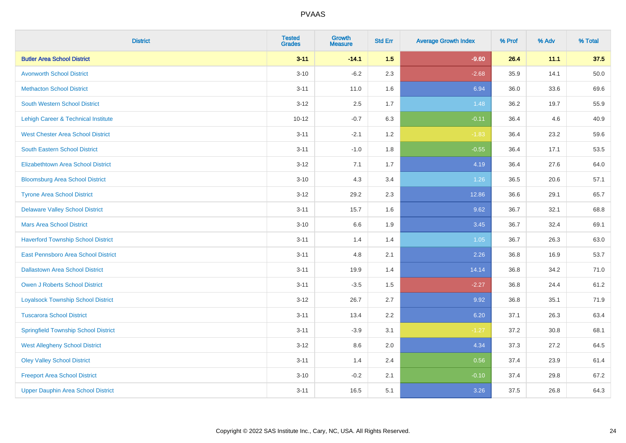| <b>District</b>                             | <b>Tested</b><br><b>Grades</b> | Growth<br><b>Measure</b> | <b>Std Err</b> | <b>Average Growth Index</b> | % Prof | % Adv | % Total |
|---------------------------------------------|--------------------------------|--------------------------|----------------|-----------------------------|--------|-------|---------|
| <b>Butler Area School District</b>          | $3 - 11$                       | $-14.1$                  | 1.5            | $-9.60$                     | 26.4   | 11.1  | 37.5    |
| <b>Avonworth School District</b>            | $3 - 10$                       | $-6.2$                   | 2.3            | $-2.68$                     | 35.9   | 14.1  | 50.0    |
| <b>Methacton School District</b>            | $3 - 11$                       | 11.0                     | 1.6            | 6.94                        | 36.0   | 33.6  | 69.6    |
| South Western School District               | $3 - 12$                       | 2.5                      | 1.7            | 1.48                        | 36.2   | 19.7  | 55.9    |
| Lehigh Career & Technical Institute         | $10 - 12$                      | $-0.7$                   | 6.3            | $-0.11$                     | 36.4   | 4.6   | 40.9    |
| <b>West Chester Area School District</b>    | $3 - 11$                       | $-2.1$                   | 1.2            | $-1.83$                     | 36.4   | 23.2  | 59.6    |
| South Eastern School District               | $3 - 11$                       | $-1.0$                   | 1.8            | $-0.55$                     | 36.4   | 17.1  | 53.5    |
| <b>Elizabethtown Area School District</b>   | $3 - 12$                       | 7.1                      | 1.7            | 4.19                        | 36.4   | 27.6  | 64.0    |
| <b>Bloomsburg Area School District</b>      | $3 - 10$                       | 4.3                      | 3.4            | 1.26                        | 36.5   | 20.6  | 57.1    |
| <b>Tyrone Area School District</b>          | $3 - 12$                       | 29.2                     | 2.3            | 12.86                       | 36.6   | 29.1  | 65.7    |
| <b>Delaware Valley School District</b>      | $3 - 11$                       | 15.7                     | 1.6            | 9.62                        | 36.7   | 32.1  | 68.8    |
| <b>Mars Area School District</b>            | $3 - 10$                       | $6.6\,$                  | 1.9            | 3.45                        | 36.7   | 32.4  | 69.1    |
| <b>Haverford Township School District</b>   | $3 - 11$                       | 1.4                      | 1.4            | 1.05                        | 36.7   | 26.3  | 63.0    |
| East Pennsboro Area School District         | $3 - 11$                       | 4.8                      | 2.1            | 2.26                        | 36.8   | 16.9  | 53.7    |
| <b>Dallastown Area School District</b>      | $3 - 11$                       | 19.9                     | 1.4            | 14.14                       | 36.8   | 34.2  | 71.0    |
| <b>Owen J Roberts School District</b>       | $3 - 11$                       | $-3.5$                   | 1.5            | $-2.27$                     | 36.8   | 24.4  | 61.2    |
| <b>Loyalsock Township School District</b>   | $3 - 12$                       | 26.7                     | 2.7            | 9.92                        | 36.8   | 35.1  | 71.9    |
| <b>Tuscarora School District</b>            | $3 - 11$                       | 13.4                     | 2.2            | 6.20                        | 37.1   | 26.3  | 63.4    |
| <b>Springfield Township School District</b> | $3 - 11$                       | $-3.9$                   | 3.1            | $-1.27$                     | 37.2   | 30.8  | 68.1    |
| <b>West Allegheny School District</b>       | $3 - 12$                       | 8.6                      | 2.0            | 4.34                        | 37.3   | 27.2  | 64.5    |
| <b>Oley Valley School District</b>          | $3 - 11$                       | 1.4                      | 2.4            | 0.56                        | 37.4   | 23.9  | 61.4    |
| <b>Freeport Area School District</b>        | $3 - 10$                       | $-0.2$                   | 2.1            | $-0.10$                     | 37.4   | 29.8  | 67.2    |
| <b>Upper Dauphin Area School District</b>   | $3 - 11$                       | 16.5                     | 5.1            | 3.26                        | 37.5   | 26.8  | 64.3    |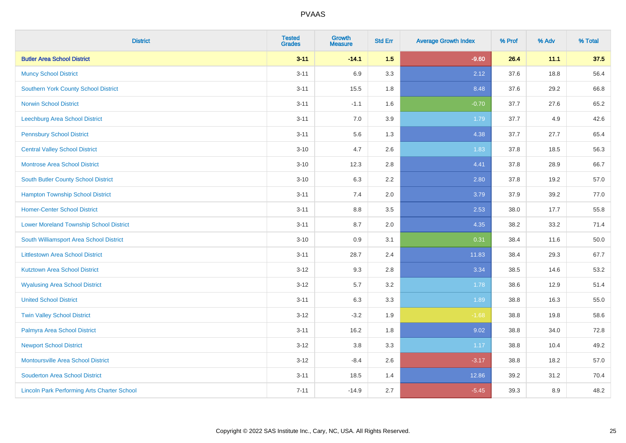| <b>District</b>                                    | <b>Tested</b><br><b>Grades</b> | <b>Growth</b><br><b>Measure</b> | <b>Std Err</b> | <b>Average Growth Index</b> | % Prof | % Adv | % Total |
|----------------------------------------------------|--------------------------------|---------------------------------|----------------|-----------------------------|--------|-------|---------|
| <b>Butler Area School District</b>                 | $3 - 11$                       | $-14.1$                         | 1.5            | $-9.60$                     | 26.4   | 11.1  | 37.5    |
| <b>Muncy School District</b>                       | $3 - 11$                       | 6.9                             | 3.3            | 2.12                        | 37.6   | 18.8  | 56.4    |
| <b>Southern York County School District</b>        | $3 - 11$                       | 15.5                            | 1.8            | 8.48                        | 37.6   | 29.2  | 66.8    |
| <b>Norwin School District</b>                      | $3 - 11$                       | $-1.1$                          | 1.6            | $-0.70$                     | 37.7   | 27.6  | 65.2    |
| <b>Leechburg Area School District</b>              | $3 - 11$                       | 7.0                             | 3.9            | 1.79                        | 37.7   | 4.9   | 42.6    |
| <b>Pennsbury School District</b>                   | $3 - 11$                       | 5.6                             | 1.3            | 4.38                        | 37.7   | 27.7  | 65.4    |
| <b>Central Valley School District</b>              | $3 - 10$                       | 4.7                             | 2.6            | 1.83                        | 37.8   | 18.5  | 56.3    |
| <b>Montrose Area School District</b>               | $3 - 10$                       | 12.3                            | 2.8            | 4.41                        | 37.8   | 28.9  | 66.7    |
| South Butler County School District                | $3 - 10$                       | 6.3                             | 2.2            | 2.80                        | 37.8   | 19.2  | 57.0    |
| <b>Hampton Township School District</b>            | $3 - 11$                       | 7.4                             | 2.0            | 3.79                        | 37.9   | 39.2  | 77.0    |
| <b>Homer-Center School District</b>                | $3 - 11$                       | 8.8                             | 3.5            | 2.53                        | 38.0   | 17.7  | 55.8    |
| <b>Lower Moreland Township School District</b>     | $3 - 11$                       | 8.7                             | 2.0            | 4.35                        | 38.2   | 33.2  | 71.4    |
| South Williamsport Area School District            | $3 - 10$                       | $0.9\,$                         | 3.1            | 0.31                        | 38.4   | 11.6  | 50.0    |
| <b>Littlestown Area School District</b>            | $3 - 11$                       | 28.7                            | 2.4            | 11.83                       | 38.4   | 29.3  | 67.7    |
| <b>Kutztown Area School District</b>               | $3 - 12$                       | 9.3                             | 2.8            | 3.34                        | 38.5   | 14.6  | 53.2    |
| <b>Wyalusing Area School District</b>              | $3 - 12$                       | 5.7                             | 3.2            | 1.78                        | 38.6   | 12.9  | 51.4    |
| <b>United School District</b>                      | $3 - 11$                       | 6.3                             | 3.3            | 1.89                        | 38.8   | 16.3  | 55.0    |
| <b>Twin Valley School District</b>                 | $3 - 12$                       | $-3.2$                          | 1.9            | $-1.68$                     | 38.8   | 19.8  | 58.6    |
| Palmyra Area School District                       | $3 - 11$                       | 16.2                            | 1.8            | 9.02                        | 38.8   | 34.0  | 72.8    |
| <b>Newport School District</b>                     | $3 - 12$                       | 3.8                             | 3.3            | 1.17                        | 38.8   | 10.4  | 49.2    |
| Montoursville Area School District                 | $3-12$                         | $-8.4$                          | 2.6            | $-3.17$                     | 38.8   | 18.2  | 57.0    |
| <b>Souderton Area School District</b>              | $3 - 11$                       | 18.5                            | 1.4            | 12.86                       | 39.2   | 31.2  | 70.4    |
| <b>Lincoln Park Performing Arts Charter School</b> | $7 - 11$                       | $-14.9$                         | 2.7            | $-5.45$                     | 39.3   | 8.9   | 48.2    |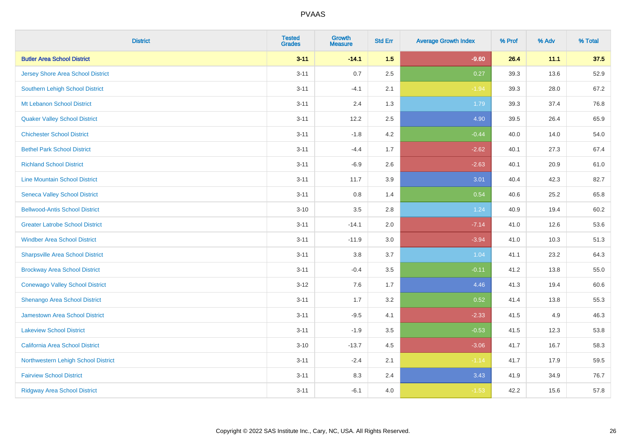| <b>District</b>                         | <b>Tested</b><br><b>Grades</b> | <b>Growth</b><br><b>Measure</b> | <b>Std Err</b> | <b>Average Growth Index</b> | % Prof | % Adv | % Total |
|-----------------------------------------|--------------------------------|---------------------------------|----------------|-----------------------------|--------|-------|---------|
| <b>Butler Area School District</b>      | $3 - 11$                       | $-14.1$                         | 1.5            | $-9.60$                     | 26.4   | 11.1  | 37.5    |
| Jersey Shore Area School District       | $3 - 11$                       | 0.7                             | 2.5            | 0.27                        | 39.3   | 13.6  | 52.9    |
| Southern Lehigh School District         | $3 - 11$                       | $-4.1$                          | 2.1            | $-1.94$                     | 39.3   | 28.0  | 67.2    |
| Mt Lebanon School District              | $3 - 11$                       | 2.4                             | 1.3            | 1.79                        | 39.3   | 37.4  | 76.8    |
| <b>Quaker Valley School District</b>    | $3 - 11$                       | 12.2                            | 2.5            | 4.90                        | 39.5   | 26.4  | 65.9    |
| <b>Chichester School District</b>       | $3 - 11$                       | $-1.8$                          | 4.2            | $-0.44$                     | 40.0   | 14.0  | 54.0    |
| <b>Bethel Park School District</b>      | $3 - 11$                       | $-4.4$                          | 1.7            | $-2.62$                     | 40.1   | 27.3  | 67.4    |
| <b>Richland School District</b>         | $3 - 11$                       | $-6.9$                          | 2.6            | $-2.63$                     | 40.1   | 20.9  | 61.0    |
| <b>Line Mountain School District</b>    | $3 - 11$                       | 11.7                            | 3.9            | 3.01                        | 40.4   | 42.3  | 82.7    |
| <b>Seneca Valley School District</b>    | $3 - 11$                       | 0.8                             | 1.4            | 0.54                        | 40.6   | 25.2  | 65.8    |
| <b>Bellwood-Antis School District</b>   | $3 - 10$                       | 3.5                             | 2.8            | 1.24                        | 40.9   | 19.4  | 60.2    |
| <b>Greater Latrobe School District</b>  | $3 - 11$                       | $-14.1$                         | 2.0            | $-7.14$                     | 41.0   | 12.6  | 53.6    |
| <b>Windber Area School District</b>     | $3 - 11$                       | $-11.9$                         | 3.0            | $-3.94$                     | 41.0   | 10.3  | 51.3    |
| <b>Sharpsville Area School District</b> | $3 - 11$                       | $3.8\,$                         | 3.7            | 1.04                        | 41.1   | 23.2  | 64.3    |
| <b>Brockway Area School District</b>    | $3 - 11$                       | $-0.4$                          | 3.5            | $-0.11$                     | 41.2   | 13.8  | 55.0    |
| <b>Conewago Valley School District</b>  | $3 - 12$                       | 7.6                             | 1.7            | 4.46                        | 41.3   | 19.4  | 60.6    |
| Shenango Area School District           | $3 - 11$                       | 1.7                             | 3.2            | 0.52                        | 41.4   | 13.8  | 55.3    |
| Jamestown Area School District          | $3 - 11$                       | $-9.5$                          | 4.1            | $-2.33$                     | 41.5   | 4.9   | 46.3    |
| <b>Lakeview School District</b>         | $3 - 11$                       | $-1.9$                          | 3.5            | $-0.53$                     | 41.5   | 12.3  | 53.8    |
| California Area School District         | $3 - 10$                       | $-13.7$                         | 4.5            | $-3.06$                     | 41.7   | 16.7  | 58.3    |
| Northwestern Lehigh School District     | $3 - 11$                       | $-2.4$                          | 2.1            | $-1.14$                     | 41.7   | 17.9  | 59.5    |
| <b>Fairview School District</b>         | $3 - 11$                       | 8.3                             | 2.4            | 3.43                        | 41.9   | 34.9  | 76.7    |
| <b>Ridgway Area School District</b>     | $3 - 11$                       | $-6.1$                          | 4.0            | $-1.53$                     | 42.2   | 15.6  | 57.8    |